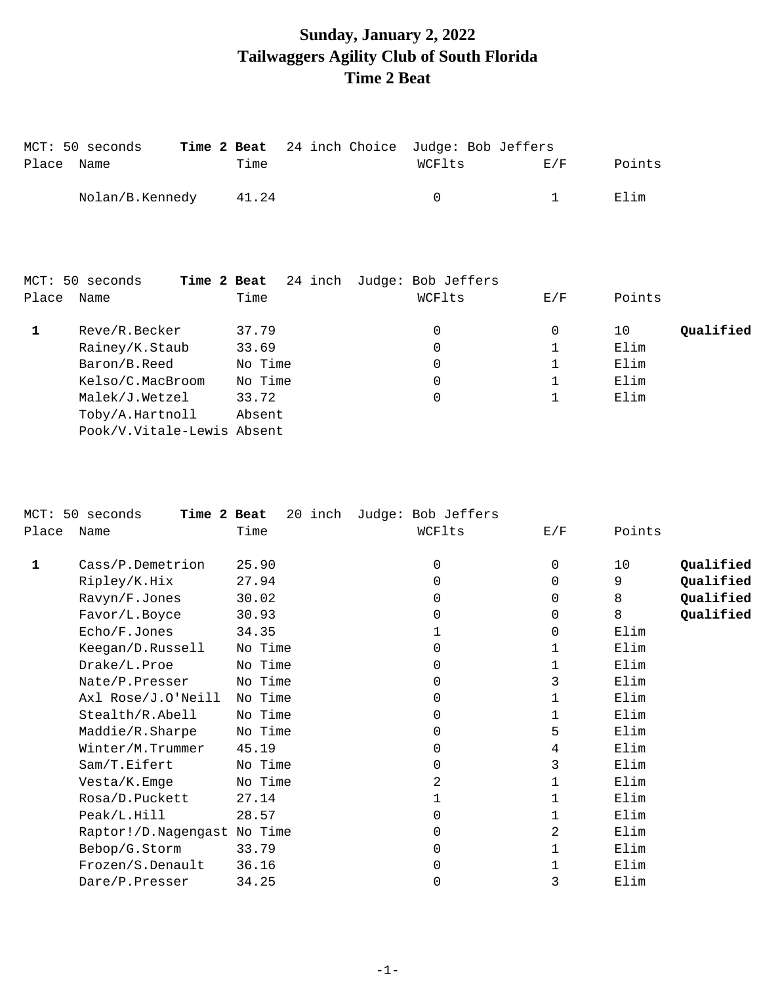# **Sunday, January 2, 2022 Tailwaggers Agility Club of South Florida Time 2 Beat**

| Place | MCT: 50 seconds<br>Time 2 Beat<br>Name | Time    | 24 inch Choice | Judge: Bob Jeffers<br>WCFlts | E/F          | Points          |
|-------|----------------------------------------|---------|----------------|------------------------------|--------------|-----------------|
|       | Nolan/B.Kennedy                        | 41.24   |                | 0                            | 1            | Elim            |
|       |                                        |         |                |                              |              |                 |
|       |                                        |         |                |                              |              |                 |
|       | Time 2 Beat<br>MCT: 50 seconds         | 24 inch |                | Judge: Bob Jeffers           |              |                 |
| Place | Name                                   | Time    |                | WCFlts                       | E/F          | Points          |
| 1     | Reve/R.Becker                          | 37.79   |                | 0                            | 0            | Qualified<br>10 |
|       | Rainey/K.Staub                         | 33.69   |                | 0                            | 1            | Elim            |
|       | Baron/B.Reed                           | No Time |                | $\overline{0}$               | $\mathbf{1}$ | Elim            |
|       | Kelso/C.MacBroom                       | No Time |                | $\overline{0}$               | 1            | Elim            |
|       | Malek/J.Wetzel                         | 33.72   |                | 0                            | $\mathbf 1$  | Elim            |
|       | Toby/A.Hartnoll                        | Absent  |                |                              |              |                 |
|       | Pook/V.Vitale-Lewis Absent             |         |                |                              |              |                 |

| $MCT$ : | 50 seconds<br>Time 2 Beat   | 20 inch | Judge: Bob Jeffers |     |        |           |
|---------|-----------------------------|---------|--------------------|-----|--------|-----------|
| Place   | Name                        | Time    | WCFlts             | E/F | Points |           |
| 1       | Cass/P.Demetrion            | 25.90   | 0                  | 0   | 10     | Qualified |
|         | Ripley/K.Hix                | 27.94   | 0                  | 0   | 9      | Qualified |
|         | Ravyn/F.Jones               | 30.02   | 0                  | 0   | 8      | Qualified |
|         | Favor/L.Boyce               | 30.93   | 0                  | 0   | 8      | Qualified |
|         | Echo/F.Jones                | 34.35   |                    | 0   | Elim   |           |
|         | Keegan/D.Russell            | No Time | 0                  |     | Elim   |           |
|         | Drake/L.Proe                | No Time | 0                  | 1   | Elim   |           |
|         | Nate/P.Presser              | No Time | 0                  | 3   | Elim   |           |
|         | Axl Rose/J.O'Neill          | No Time | 0                  | 1   | Elim   |           |
|         | Stealth/R.Abell             | No Time | 0                  | 1   | Elim   |           |
|         | Maddie/R.Sharpe             | No Time | 0                  | 5   | Elim   |           |
|         | Winter/M.Trummer            | 45.19   | 0                  | 4   | Elim   |           |
|         | Sam/T.Eifert                | No Time | 0                  | 3   | Elim   |           |
|         | Vesta/K.Emge                | No Time | 2                  | 1   | Elim   |           |
|         | Rosa/D.Puckett              | 27.14   |                    | 1   | Elim   |           |
|         | Peak/L.Hill                 | 28.57   | 0                  |     | Elim   |           |
|         | Raptor!/D.Nagengast No Time |         | 0                  | 2   | Elim   |           |
|         | Bebop/G.Storm               | 33.79   | 0                  |     | Elim   |           |
|         | Frozen/S.Denault            | 36.16   | 0                  |     | Elim   |           |
|         | Dare/P.Presser              | 34.25   | 0                  | 3   | Elim   |           |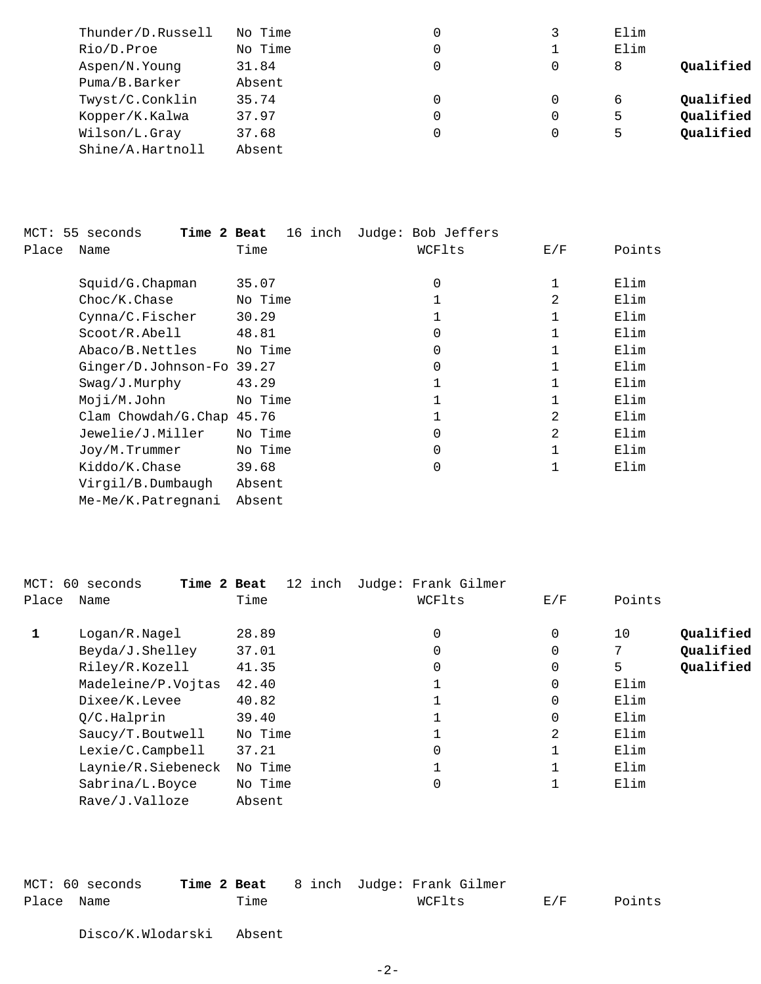| Thunder/D.Russell | No Time |   | Elim |           |
|-------------------|---------|---|------|-----------|
| Rio/D.Proe        | No Time | 0 | Elim |           |
| Aspen/N.Young     | 31.84   | 0 | 8    | Oualified |
| Puma/B.Barker     | Absent  |   |      |           |
| Twyst/C.Conklin   | 35.74   | 0 | 6    | Oualified |
| Kopper/K.Kalwa    | 37.97   | 0 | 5    | Qualified |
| Wilson/L.Gray     | 37.68   | 0 | 5    | Qualified |
| Shine/A.Hartnoll  | Absent  |   |      |           |

| MCT: 55 seconds<br>Time 2 Beat | 16 inch | Judge: Bob Jeffers |     |        |
|--------------------------------|---------|--------------------|-----|--------|
| Place<br>Name                  | Time    | WCFlts             | E/F | Points |
| Squid/G. Chapman               | 35.07   | $\Omega$           |     | Elim   |
| Choc/K.Chase                   | No Time |                    | 2   | Elim   |
| Cynna/C.Fischer                | 30.29   |                    |     | Elim   |
| Scoot/R. Abel1                 | 48.81   | $\Omega$           |     | Elim   |
| Abaco/B.Nettles                | No Time | $\Omega$           |     | Elim   |
| Ginger/D.Johnson-Fo 39.27      |         | $\Omega$           |     | Elim   |
| Swag/J.Murphy                  | 43.29   |                    |     | Elim   |
| Moji/M.John                    | No Time |                    |     | Elim   |
| Clam Chowdah/G.Chap 45.76      |         |                    | 2   | Elim   |
| Jewelie/J.Miller               | No Time | $\Omega$           | 2   | Elim   |
| Joy/M.Trummer                  | No Time | 0                  |     | Elim   |
| Kiddo/K.Chase                  | 39.68   | 0                  | 1   | Elim   |
| Virgil/B.Dumbaugh              | Absent  |                    |     |        |
| Me-Me/K.Patregnani             | Absent  |                    |     |        |

|       | MCT: 60 seconds<br>Time 2 Beat | 12 inch | Judge: Frank Gilmer |     |                 |
|-------|--------------------------------|---------|---------------------|-----|-----------------|
| Place | Name                           | Time    | WCFlts              | E/F | Points          |
| 1     | Logan/R.Nagel                  | 28.89   | 0                   | 0   | Qualified<br>10 |
|       | Beyda/J.Shelley                | 37.01   | 0                   | 0   | Qualified       |
|       | Riley/R.Kozell                 | 41.35   | 0                   | 0   | Qualified<br>5  |
|       | Madeleine/P.Vojtas             | 42.40   |                     | 0   | Elim            |
|       | Dixee/K.Levee                  | 40.82   |                     | 0   | Elim            |
|       | O/C.Halprin                    | 39.40   | ᆂ                   | 0   | Elim            |
|       | Saucy/T.Boutwell               | No Time |                     | 2   | Elim            |
|       | Lexie/C.Campbell               | 37.21   | 0                   |     | Elim            |
|       | Laynie/R.Siebeneck             | No Time |                     |     | Elim            |
|       | Sabrina/L.Boyce                | No Time | 0                   |     | Elim            |
|       | Rave/J.Valloze                 | Absent  |                     |     |                 |

| MCT: 60 seconds |      | <b>Time 2 Beat</b> 8 inch Judge: Frank Gilmer |       |        |
|-----------------|------|-----------------------------------------------|-------|--------|
| Place Name      | Time | WCFlts                                        | E / F | Points |
|                 |      |                                               |       |        |

Disco/K.Wlodarski Absent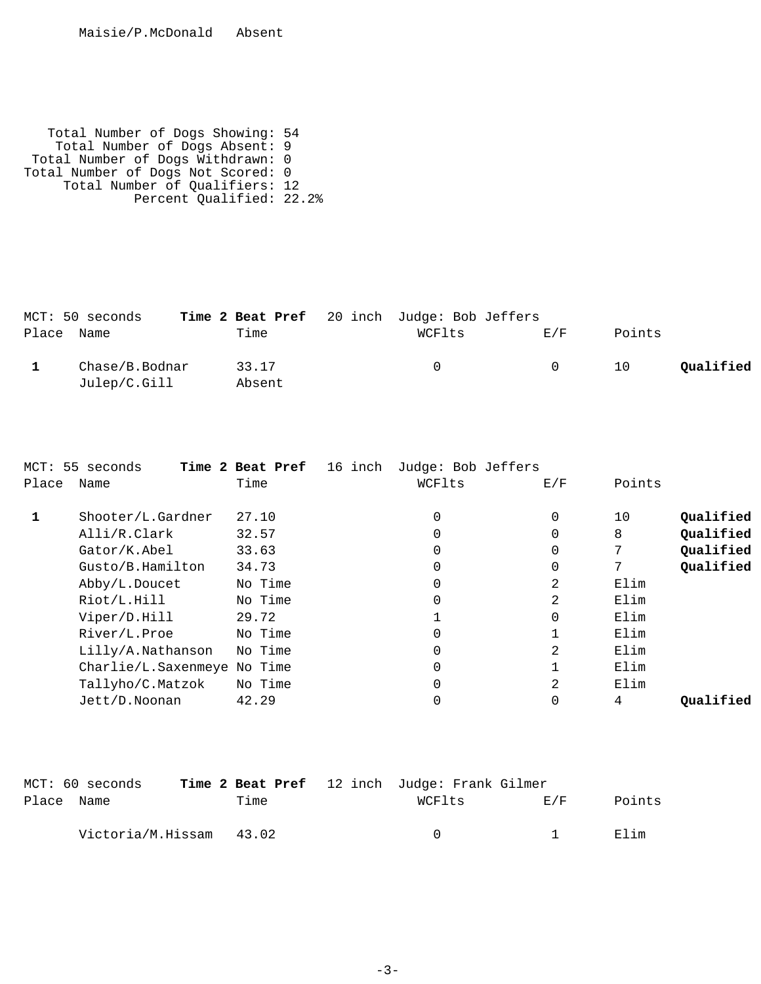Total Number of Dogs Showing: 54 Total Number of Dogs Absent: 9 Total Number of Dogs Withdrawn: 0 Total Number of Dogs Not Scored: 0 Total Number of Qualifiers: 12 Percent Qualified: 22.2%

|            | MCT: 50 seconds                |                 | Time 2 Beat Pref 20 inch Judge: Bob Jeffers |     |        |           |
|------------|--------------------------------|-----------------|---------------------------------------------|-----|--------|-----------|
| Place Name |                                | Time            | WCFlts                                      | F/F | Points |           |
|            | Chase/B.Bodnar<br>Julep/C.Gill | 33.17<br>Absent | <sup>()</sup>                               | - 0 | 10     | Oualified |

|       | MCT: 55 seconds             | 16 inch<br>Time 2 Beat Pref | Judge: Bob Jeffers |          |        |           |
|-------|-----------------------------|-----------------------------|--------------------|----------|--------|-----------|
| Place | Name                        | Time                        | WCFlts             | E/F      | Points |           |
|       | Shooter/L.Gardner           | 27.10                       | 0                  | 0        | 10     | Qualified |
|       | Alli/R.Clark                | 32.57                       | 0                  | 0        | 8      | Qualified |
|       | Gator/K.Abel                | 33.63                       | 0                  | 0        |        | Qualified |
|       | Gusto/B.Hamilton            | 34.73                       | 0                  | 0        |        | Qualified |
|       | Abby/L.Doucet               | No Time                     | 0                  | 2        | Elim   |           |
|       | Riot/L.Hill                 | No Time                     | 0                  | 2        | Elim   |           |
|       | Viper/D.Hill                | 29.72                       |                    | $\Omega$ | Elim   |           |
|       | River/L.Proe                | No Time                     | 0                  |          | Elim   |           |
|       | Lilly/A.Nathanson           | No Time                     | 0                  | 2        | Elim   |           |
|       | Charlie/L.Saxenmeye No Time |                             | 0                  |          | Elim   |           |
|       | Tallyho/C.Matzok            | No Time                     | 0                  | 2        | Elim   |           |
|       | Jett/D.Noonan               | 42.29                       | 0                  | 0        | 4      | Oualified |
|       |                             |                             |                    |          |        |           |

|            | MCT: 60 seconds         |      | <b>Time 2 Beat Pref</b> 12 inch Judge: Frank Gilmer |          |        |
|------------|-------------------------|------|-----------------------------------------------------|----------|--------|
| Place Name |                         | Time | WCFlts                                              | E / F    | Points |
|            | Victoria/M.Hissam 43.02 |      | $\cap$                                              | $\sim$ 1 | 田lim   |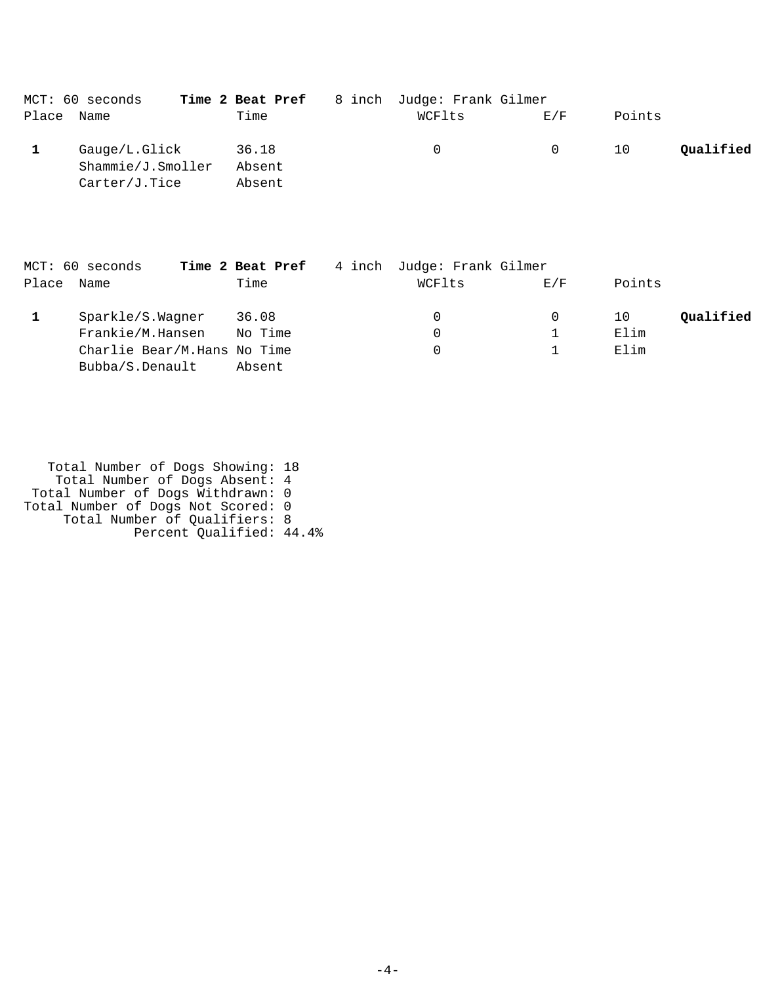|            | MCT: 60 seconds   | Time 2 Beat Pref | 8 inch Judge: Frank Gilmer |          |        |           |
|------------|-------------------|------------------|----------------------------|----------|--------|-----------|
| Place Name |                   | Time             | WCFlts                     | E/F      | Points |           |
|            | Gauge/L.Glick     | 36.18            | $\Omega$                   | $\Omega$ | 10     | Qualified |
|            | Shammie/J.Smoller | Absent           |                            |          |        |           |
|            | Carter/J.Tice     | Absent           |                            |          |        |           |

|       | MCT: 60 seconds             | Time 2 Beat Pref | 4 inch Judge: Frank Gilmer |     |        |           |
|-------|-----------------------------|------------------|----------------------------|-----|--------|-----------|
| Place | Name                        | Time             | WCFlts                     | E/F | Points |           |
|       | Sparkle/S.Wagner            | 36.08            | 0                          | 0   | 10     | Qualified |
|       | Frankie/M.Hansen            | No Time          | 0                          |     | Elim   |           |
|       | Charlie Bear/M.Hans No Time |                  | 0                          |     | Elim   |           |
|       | Bubba/S.Denault             | Absent           |                            |     |        |           |

 Total Number of Dogs Showing: 18 Total Number of Dogs Absent: 4 Total Number of Dogs Withdrawn: 0 Total Number of Dogs Not Scored: 0 Total Number of Qualifiers: 8 Percent Qualified: 44.4%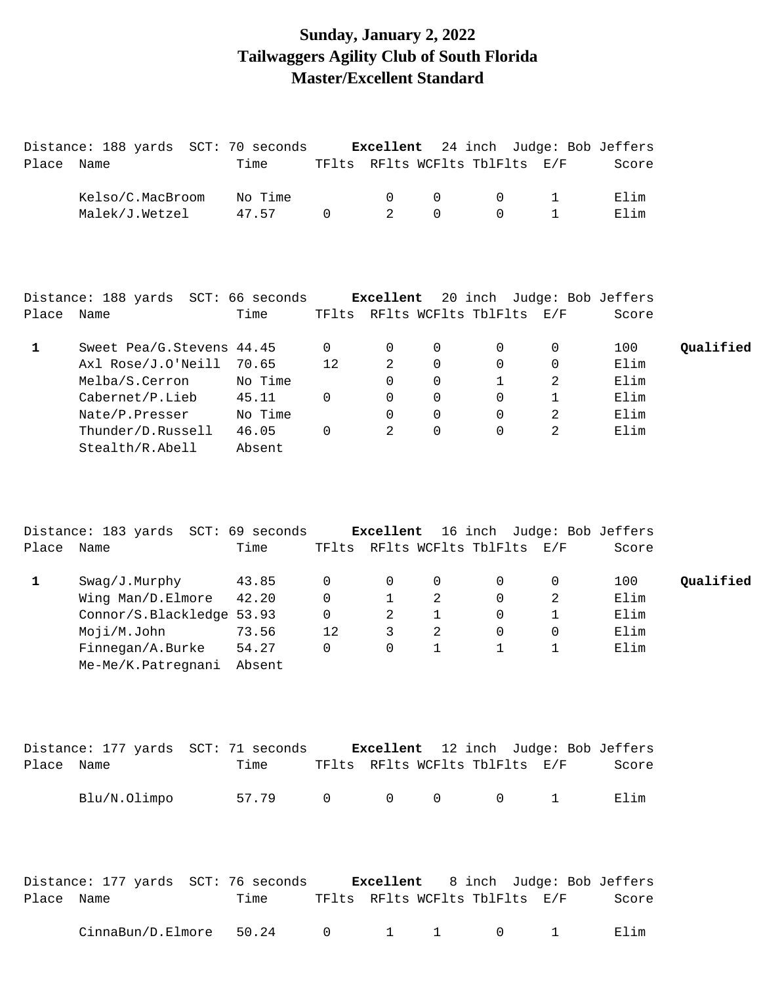# **Sunday, January 2, 2022 Tailwaggers Agility Club of South Florida Master/Excellent Standard**

|            | Distance: 188 yards SCT: 70 seconds |         |             | Excellent    |                | 24 inch Judge: Bob Jeffers     |                |       |           |
|------------|-------------------------------------|---------|-------------|--------------|----------------|--------------------------------|----------------|-------|-----------|
| Place Name |                                     | Time    |             |              |                | TFlts RFlts WCFlts TblFlts E/F |                | Score |           |
|            | Kelso/C.MacBroom                    | No Time |             | 0            | 0              | 0                              | $\mathbf 1$    | Elim  |           |
|            | Malek/J.Wetzel                      | 47.57   | 0           | 2            | $\Omega$       | $\mathbf 0$                    | $\mathbf 1$    | Elim  |           |
|            |                                     |         |             |              |                |                                |                |       |           |
|            | Distance: 188 yards SCT: 66 seconds |         |             | Excellent    |                | 20 inch Judge: Bob Jeffers     |                |       |           |
| Place      | Name                                | Time    |             |              |                | TFlts RFlts WCFlts TblFlts E/F |                | Score |           |
| 1          | Sweet Pea/G. Stevens 44.45          |         | 0           | 0            | 0              | 0                              | 0              | 100   | Qualified |
|            | Axl Rose/J.O'Neill                  | 70.65   | 12          | 2            | 0              | 0                              | 0              | Elim  |           |
|            | Melba/S.Cerron                      | No Time |             | $\Omega$     | 0              | 1                              | 2              | Elim  |           |
|            | Cabernet/P.Lieb                     | 45.11   | 0           | 0            | 0              | 0                              | $\mathbf 1$    | Elim  |           |
|            | Nate/P.Presser                      | No Time |             | 0            | 0              | 0                              | $\overline{2}$ | Elim  |           |
|            | Thunder/D.Russell                   | 46.05   | $\Omega$    | 2            | $\Omega$       | 0                              | 2              | Elim  |           |
|            | Stealth/R.Abell                     | Absent  |             |              |                |                                |                |       |           |
|            | Distance: 183 yards SCT: 69 seconds |         |             | Excellent    |                | 16 inch Judge: Bob Jeffers     |                |       |           |
| Place Name |                                     | Time    |             |              |                | TFlts RFlts WCFlts TblFlts     | E/F            | Score |           |
| 1          | Swag/J.Murphy                       | 43.85   | 0           | 0            | 0              | 0                              | 0              | 100   | Qualified |
|            | Wing Man/D.Elmore                   | 42.20   | $\mathbf 0$ | $\mathbf{1}$ | $\overline{a}$ | 0                              | 2              | Elim  |           |
|            | Connor/S.Blackledge 53.93           |         | 0           | 2            | $\mathbf 1$    | 0                              | $\mathbf 1$    | Elim  |           |
|            | Moji/M.John                         | 73.56   | 12          | 3            | 2              | 0                              | 0              | Elim  |           |
|            | Finnegan/A.Burke                    | 54.27   | $\Omega$    | $\Omega$     | $\mathbf{1}$   | 1                              | 1              | Elim  |           |
|            | Me-Me/K.Patregnani                  | Absent  |             |              |                |                                |                |       |           |
|            |                                     |         |             |              |                |                                |                |       |           |
|            | Distance: 177 yards SCT: 71 seconds |         |             | Excellent    |                | 12 inch Judge: Bob Jeffers     |                |       |           |
| Place Name |                                     | Time    |             |              |                | TFlts RFlts WCFlts TblFlts E/F |                | Score |           |
|            | Blu/N.Olimpo                        | 57.79   | 0           | 0            | 0              | 0                              | 1              | Elim  |           |

|            | Distance: 177 yards SCT: 76 seconds |      |  |  |                                | <b>Excellent</b> 8 inch Judge: Bob Jeffers |
|------------|-------------------------------------|------|--|--|--------------------------------|--------------------------------------------|
| Place Name |                                     | Time |  |  | TFlts RFlts WCFlts TblFlts E/F | Score                                      |
|            | $CinnaBun/D.Elmore$ 50.24 0 1 1 0 1 |      |  |  |                                | Elim                                       |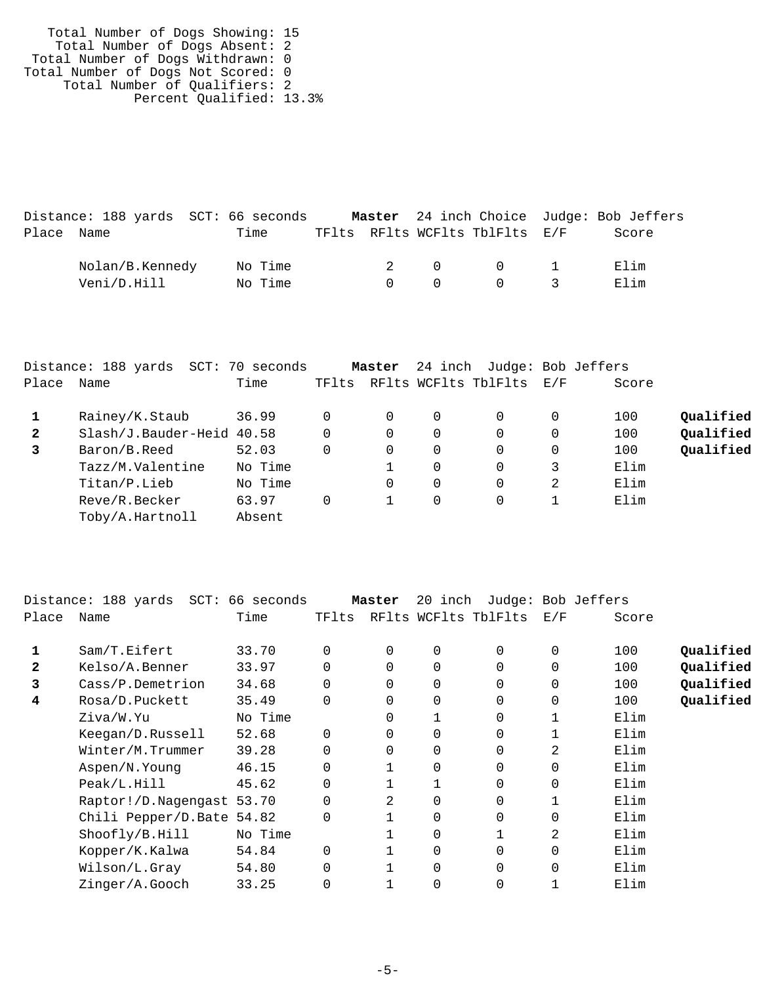| Total Number of Dogs Showing: 15   |  |
|------------------------------------|--|
| Total Number of Dogs Absent: 2     |  |
| Total Number of Dogs Withdrawn: 0  |  |
| Total Number of Dogs Not Scored: 0 |  |
| Total Number of Qualifiers: 2      |  |
| Percent Qualified: 13.3%           |  |
|                                    |  |

|            | Distance: 188 yards SCT: 66 seconds |         |  |                   |                                | Master 24 inch Choice Judge: Bob Jeffers |  |
|------------|-------------------------------------|---------|--|-------------------|--------------------------------|------------------------------------------|--|
| Place Name |                                     | Time    |  |                   | TFlts RFlts WCFlts TblFlts E/F | Score                                    |  |
|            | Nolan/B.Kennedy                     | No Time |  |                   | 2 0 0 1                        | Elim                                     |  |
|            | Veni/D.Hill                         | No Time |  | $\Omega$ $\Omega$ | $\bigcap$ 3                    | Elim                                     |  |

|       | Distance: 188 yards SCT: 70 seconds |         |       | Master |             | 24 inch Judge: Bob Jeffers |   |       |           |
|-------|-------------------------------------|---------|-------|--------|-------------|----------------------------|---|-------|-----------|
| Place | Name                                | Time    | TFlts |        |             | RFlts WCFlts TblFlts E/F   |   | Score |           |
|       | Rainey/K.Staub                      | 36.99   | 0     |        | 0           | 0                          | 0 | 100   | Qualified |
| 2     | Slash/J.Bauder-Heid 40.58           |         | 0     |        | 0           | 0                          | 0 | 100   | Qualified |
| 3     | Baron/B.Reed                        | 52.03   | 0     |        | $\mathbf 0$ | 0                          | 0 | 100   | Oualified |
|       | Tazz/M.Valentine                    | No Time |       |        | 0           | 0                          | 3 | Elim  |           |
|       | Titan/P.Lieb                        | No Time |       |        | $\mathbf 0$ | 0                          | 2 | Elim  |           |
|       | Reve/R.Becker                       | 63.97   | 0     | 1      | 0           | $\Omega$                   |   | Elim  |           |
|       | Toby/A.Hartnoll                     | Absent  |       |        |             |                            |   |       |           |

|       | Distance: 188 yards SCT: 66 seconds |         |          | Master   | 20 inch |                      |          | Judge: Bob Jeffers |           |
|-------|-------------------------------------|---------|----------|----------|---------|----------------------|----------|--------------------|-----------|
| Place | Name                                | Time    | TFlts    |          |         | RFlts WCFlts TblFlts | E/F      | Score              |           |
|       |                                     |         |          |          |         |                      |          |                    |           |
|       | Sam/T.Eifert                        | 33.70   | $\Omega$ | $\Omega$ | 0       | $\Omega$             | 0        | 100                | Qualified |
| 2     | Kelso/A.Benner                      | 33.97   | $\Omega$ | $\Omega$ | 0       | $\Omega$             | $\Omega$ | 100                | Qualified |
| 3     | Cass/P.Demetrion                    | 34.68   | $\Omega$ | $\Omega$ | 0       | $\Omega$             | $\Omega$ | 100                | Qualified |
| 4     | Rosa/D.Puckett                      | 35.49   | $\Omega$ | 0        | 0       | $\Omega$             | $\Omega$ | 100                | Qualified |
|       | Ziva/W.Yu                           | No Time |          | 0        |         | $\Omega$             |          | Elim               |           |
|       | Keegan/D.Russell                    | 52.68   | $\Omega$ | 0        | 0       | $\Omega$             |          | Elim               |           |
|       | Winter/M.Trummer                    | 39.28   | 0        | $\Omega$ | 0       | $\Omega$             | 2        | Elim               |           |
|       | Aspen/N.Young                       | 46.15   | 0        |          | 0       | $\Omega$             | $\Omega$ | Elim               |           |
|       | Peak/L.Hill                         | 45.62   | $\Omega$ |          |         | $\Omega$             | $\Omega$ | Elim               |           |
|       | Raptor!/D.Nagengast 53.70           |         | $\Omega$ | 2        | 0       | $\Omega$             |          | Elim               |           |
|       | Chili Pepper/D.Bate 54.82           |         | $\Omega$ |          | 0       | 0                    | $\Omega$ | Elim               |           |
|       | Shoofly/B.Hill                      | No Time |          |          | 0       |                      | 2        | Elim               |           |
|       | Kopper/K.Kalwa                      | 54.84   | $\Omega$ |          | 0       | $\Omega$             | $\Omega$ | Elim               |           |
|       | Wilson/L.Gray                       | 54.80   | $\Omega$ |          | 0       | $\Omega$             | $\Omega$ | Elim               |           |
|       | Zinger/A.Gooch                      | 33.25   | $\Omega$ |          | 0       | 0                    |          | Elim               |           |
|       |                                     |         |          |          |         |                      |          |                    |           |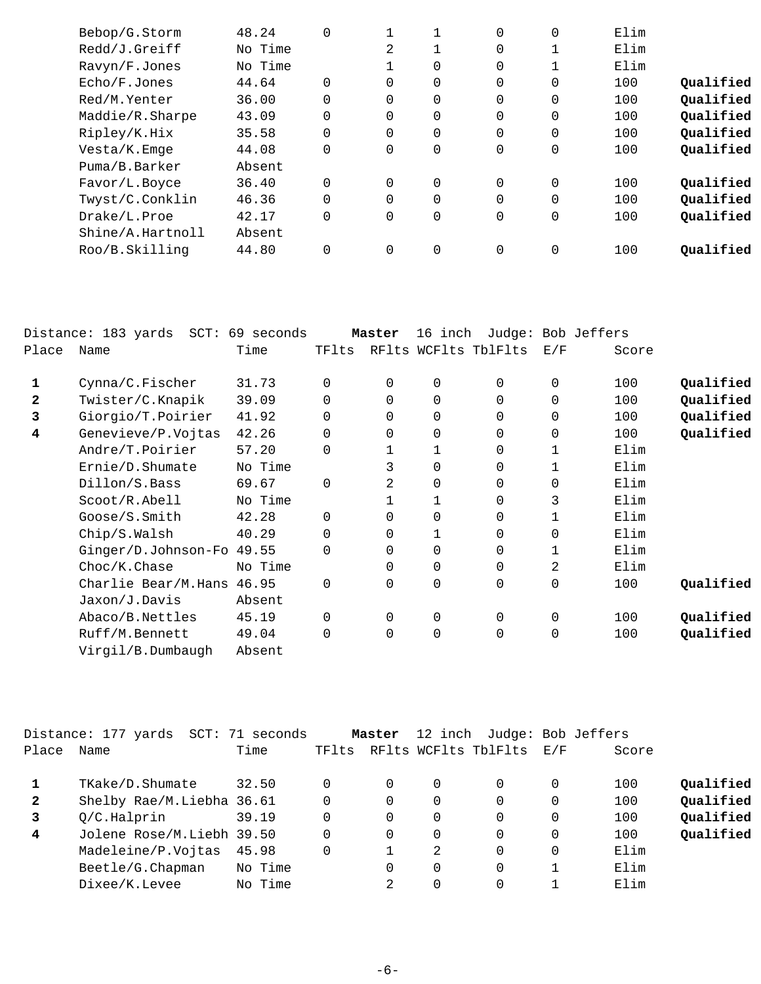| Bebop/G.Storm    | 48.24   | $\Omega$ |                |          | 0              | 0           | Elim |           |
|------------------|---------|----------|----------------|----------|----------------|-------------|------|-----------|
| Redd/J.Greiff    | No Time |          | 2              |          | $\Omega$       |             | Elim |           |
| Ravyn/F.Jones    | No Time |          |                | 0        | $\overline{0}$ |             | Elim |           |
| Echo/F.Jones     | 44.64   | $\Omega$ | $\Omega$       | 0        | $\Omega$       | 0           | 100  | Qualified |
| Red/M.Yenter     | 36.00   | $\Omega$ | $\Omega$       | $\Omega$ | $\overline{0}$ | 0           | 100  | Qualified |
| Maddie/R.Sharpe  | 43.09   | 0        | 0              | 0        | 0              | 0           | 100  | Qualified |
| Ripley/K.Hix     | 35.58   | $\Omega$ | $\Omega$       | 0        | $\Omega$       | 0           | 100  | Qualified |
| Vesta/K.Emge     | 44.08   | 0        | $\overline{0}$ | 0        | $\mathbf 0$    | 0           | 100  | Qualified |
| Puma/B.Barker    | Absent  |          |                |          |                |             |      |           |
| Favor/L.Boyce    | 36.40   | $\Omega$ | $\Omega$       | $\Omega$ | $\Omega$       | 0           | 100  | Qualified |
| Twyst/C.Conklin  | 46.36   | $\Omega$ | $\Omega$       | 0        | $\overline{0}$ | $\mathbf 0$ | 100  | Qualified |
| Drake/L.Proe     | 42.17   | $\Omega$ | $\Omega$       | 0        | 0              | 0           | 100  | Qualified |
| Shine/A.Hartnoll | Absent  |          |                |          |                |             |      |           |
| Roo/B.Skilling   | 44.80   | $\Omega$ | $\mathbf 0$    | 0        | $\mathbf 0$    | 0           | 100  | Qualified |
|                  |         |          |                |          |                |             |      |           |

|              | Distance: 183 yards SCT: 69 seconds |         |          | Master         | 16 inch      |                      |     | Judge: Bob Jeffers |           |
|--------------|-------------------------------------|---------|----------|----------------|--------------|----------------------|-----|--------------------|-----------|
| Place        | Name                                | Time    | TFlts    |                |              | RFlts WCFlts TblFlts | E/F | Score              |           |
| 1            | Cynna/C.Fischer                     | 31.73   | 0        | 0              | 0            | $\mathbf 0$          | 0   | 100                | Qualified |
| $\mathbf{2}$ | Twister/C.Knapik                    | 39.09   | 0        | $\Omega$       | $\Omega$     | $\Omega$             | 0   | 100                | Qualified |
| 3            | Giorgio/T.Poirier                   | 41.92   | 0        | $\Omega$       | $\mathbf 0$  | $\Omega$             | 0   | 100                | Qualified |
| 4            | Genevieve/P.Vojtas                  | 42.26   | 0        | $\Omega$       | $\Omega$     | $\Omega$             | 0   | 100                | Qualified |
|              | Andre/T.Poirier                     | 57.20   | 0        |                | 1            | $\mathbf 0$          | 1   | Elim               |           |
|              | Ernie/D.Shumate                     | No Time |          | 3              | $\Omega$     | $\Omega$             | 1   | Elim               |           |
|              | Dillon/S.Bass                       | 69.67   | $\Omega$ | 2              | $\mathbf 0$  | $\Omega$             | 0   | Elim               |           |
|              | Scoot/R.Abell                       | No Time |          |                | $\mathbf{1}$ | $\Omega$             | 3   | Elim               |           |
|              | Goose/S.Smith                       | 42.28   | $\Omega$ | $\Omega$       | $\Omega$     | $\Omega$             | 1   | Elim               |           |
|              | Chip/S.Walsh                        | 40.29   | $\Omega$ | 0              | 1            | $\mathbf 0$          | 0   | Elim               |           |
|              | Ginger/D.Johnson-Fo                 | 49.55   | $\Omega$ | $\Omega$       | $\Omega$     | $\mathbf 0$          |     | Elim               |           |
|              | Choc/K.Chase                        | No Time |          | $\Omega$       | $\Omega$     | $\Omega$             | 2   | Elim               |           |
|              | Charlie Bear/M.Hans                 | 46.95   | 0        | $\overline{0}$ | $\mathbf 0$  | $\mathbf 0$          | 0   | 100                | Qualified |
|              | Jaxon/J.Davis                       | Absent  |          |                |              |                      |     |                    |           |
|              | Abaco/B.Nettles                     | 45.19   | 0        | $\Omega$       | $\mathbf 0$  | $\Omega$             | 0   | 100                | Qualified |
|              | Ruff/M.Bennett                      | 49.04   | $\Omega$ | $\Omega$       | $\mathbf 0$  | $\mathbf 0$          | 0   | 100                | Qualified |
|              | Virgil/B.Dumbaugh                   | Absent  |          |                |              |                      |     |                    |           |
|              |                                     |         |          |                |              |                      |     |                    |           |

|              | Distance: 177 yards SCT: 71 seconds |         |       | Master   |   | 12 inch Judge: Bob Jeffers |     |       |           |
|--------------|-------------------------------------|---------|-------|----------|---|----------------------------|-----|-------|-----------|
| Place        | Name                                | Time    | TFlts |          |   | RFlts WCFlts TblFlts       | E/F | Score |           |
|              | TKake/D.Shumate                     | 32.50   |       | 0        | 0 | 0                          | 0   | 100   | Qualified |
| $\mathbf{2}$ | Shelby Rae/M.Liebha 36.61           |         |       | $\Omega$ | 0 | 0                          | 0   | 100   | Qualified |
|              | Q/C.Halprin                         | 39.19   |       | $\Omega$ | 0 | 0                          | 0   | 100   | Qualified |
| 4            | Jolene Rose/M.Liebh 39.50           |         |       | $\Omega$ | 0 | 0                          | 0   | 100   | Qualified |
|              | Madeleine/P.Vojtas                  | 45.98   |       |          | 2 | $\Omega$                   | 0   | Elim  |           |
|              | Beetle/G. Chapman                   | No Time |       | $\Omega$ | 0 | 0                          |     | Elim  |           |
|              | Dixee/K.Levee                       | No Time |       | 2        |   |                            |     | Elim  |           |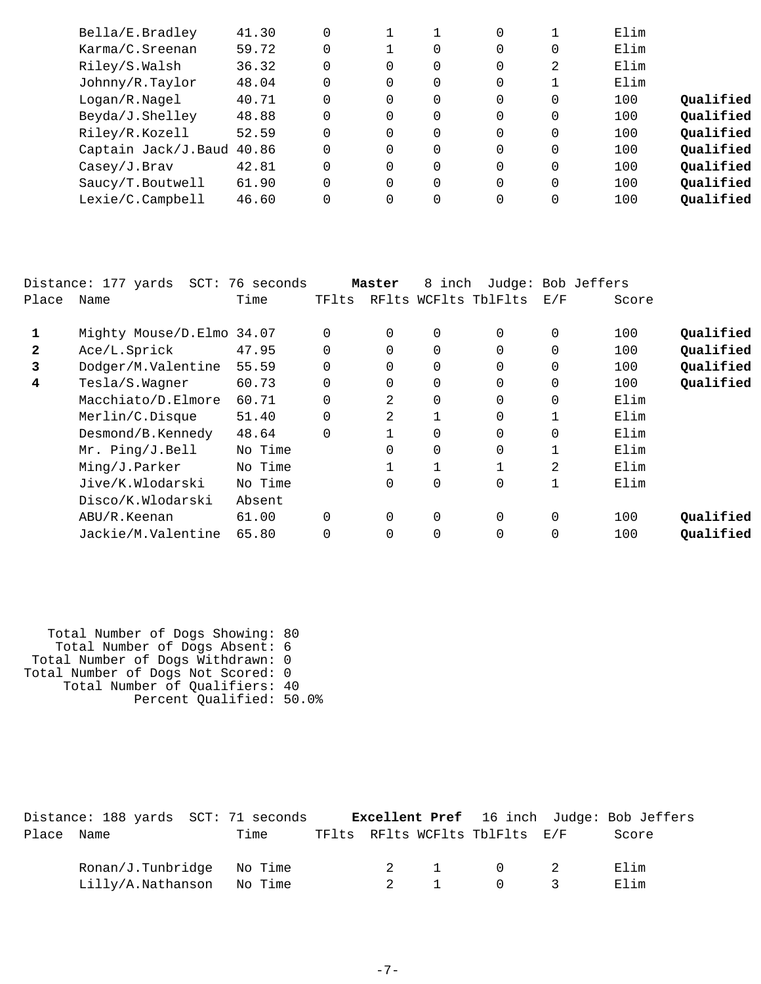| Bella/E.Bradley           | 41.30 | $\Omega$ |          |          | 0        |          | Elim |           |
|---------------------------|-------|----------|----------|----------|----------|----------|------|-----------|
| Karma/C.Sreenan           | 59.72 | $\Omega$ |          | 0        | 0        | 0        | Elim |           |
| Riley/S.Walsh             | 36.32 | $\Omega$ | $\Omega$ | 0        | 0        | 2        | Elim |           |
| Johnny/R.Taylor           | 48.04 | $\Omega$ | $\Omega$ | 0        | 0        |          | Elim |           |
| Logan/R.Nagel             | 40.71 | $\Omega$ | $\Omega$ | 0        | $\Omega$ | 0        | 100  | Oualified |
| Beyda/J.Shelley           | 48.88 | $\Omega$ | $\Omega$ | 0        | 0        | 0        | 100  | Qualified |
| Riley/R.Kozell            | 52.59 | $\Omega$ | $\Omega$ | 0        | $\Omega$ | $\Omega$ | 100  | Oualified |
| Captain Jack/J.Baud 40.86 |       | $\Omega$ | $\Omega$ | 0        | $\Omega$ | $\Omega$ | 100  | Qualified |
| Casey/J.Brav              | 42.81 | $\Omega$ | $\Omega$ | 0        | $\Omega$ | 0        | 100  | Oualified |
| Saucy/T.Boutwell          | 61.90 | $\Omega$ | $\Omega$ | $\Omega$ | $\Omega$ | $\Omega$ | 100  | Qualified |
| Lexie/C.Campbell          | 46.60 | $\Omega$ | $\Omega$ | 0        | $\Omega$ | 0        | 100  | Qualified |
|                           |       |          |          |          |          |          |      |           |

|              | Distance: 177 yards       | SCT: 76 seconds |          | Master   | 8 inch      |                      |          | Judge: Bob Jeffers |           |
|--------------|---------------------------|-----------------|----------|----------|-------------|----------------------|----------|--------------------|-----------|
| Place        | Name                      | Time            | TFlts    |          |             | RFlts WCFlts TblFlts | E/F      | Score              |           |
| 1            | Mighty Mouse/D.Elmo 34.07 |                 | $\Omega$ | 0        | 0           | $\Omega$             | 0        | 100                | Qualified |
| $\mathbf{2}$ | Ace/L.Sprick              | 47.95           | $\Omega$ | $\Omega$ | 0           | $\Omega$             | 0        | 100                | Qualified |
| 3            | Dodger/M.Valentine        | 55.59           | $\Omega$ | $\Omega$ | 0           | $\Omega$             | $\Omega$ | 100                | Qualified |
| 4            | Tesla/S.Wagner            | 60.73           | 0        | $\Omega$ | 0           | $\Omega$             | 0        | 100                | Qualified |
|              | Macchiato/D.Elmore        | 60.71           | $\Omega$ | 2        | 0           | $\Omega$             | 0        | Elim               |           |
|              | Merlin/C.Disque           | 51.40           |          | 2        |             | $\Omega$             | 1        | Elim               |           |
|              | Desmond/B.Kennedy         | 48.64           | $\Omega$ |          | 0           | 0                    | 0        | Elim               |           |
|              | Mr. Ping/J.Bell           | No Time         |          | $\Omega$ | 0           | $\Omega$             |          | Elim               |           |
|              | Ming/J.Parker             | No Time         |          |          |             |                      | 2        | Elim               |           |
|              | Jive/K.Wlodarski          | No Time         |          | $\Omega$ | 0           | $\Omega$             | 1        | Elim               |           |
|              | Disco/K.Wlodarski         | Absent          |          |          |             |                      |          |                    |           |
|              | ABU/R.Keenan              | 61.00           | $\Omega$ | $\Omega$ | $\mathbf 0$ | $\Omega$             | 0        | 100                | Qualified |
|              | Jackie/M.Valentine        | 65.80           | $\Omega$ | $\Omega$ | 0           | $\Omega$             | 0        | 100                | Qualified |
|              |                           |                 |          |          |             |                      |          |                    |           |

| Total Number of Dogs Showing: 80   |
|------------------------------------|
| Total Number of Dogs Absent: 6     |
| Total Number of Dogs Withdrawn: 0  |
| Total Number of Dogs Not Scored: 0 |
| Total Number of Qualifiers: 40     |
| Percent Qualified: 50.0%           |
|                                    |

|            | Distance: 188 yards SCT: 71 seconds |      |  |                                | <b>Excellent Pref</b> 16 inch Judge: Bob Jeffers |  |
|------------|-------------------------------------|------|--|--------------------------------|--------------------------------------------------|--|
| Place Name |                                     | Time |  | TFlts RFlts WCFlts TblFlts E/F | Score                                            |  |
|            | $Ronan/J.Tunbridge$ No Time         |      |  | 2 1 0 2                        | Elim                                             |  |
|            | Lilly/A.Nathanson No Time           |      |  | 2 1 0 3                        | Elim                                             |  |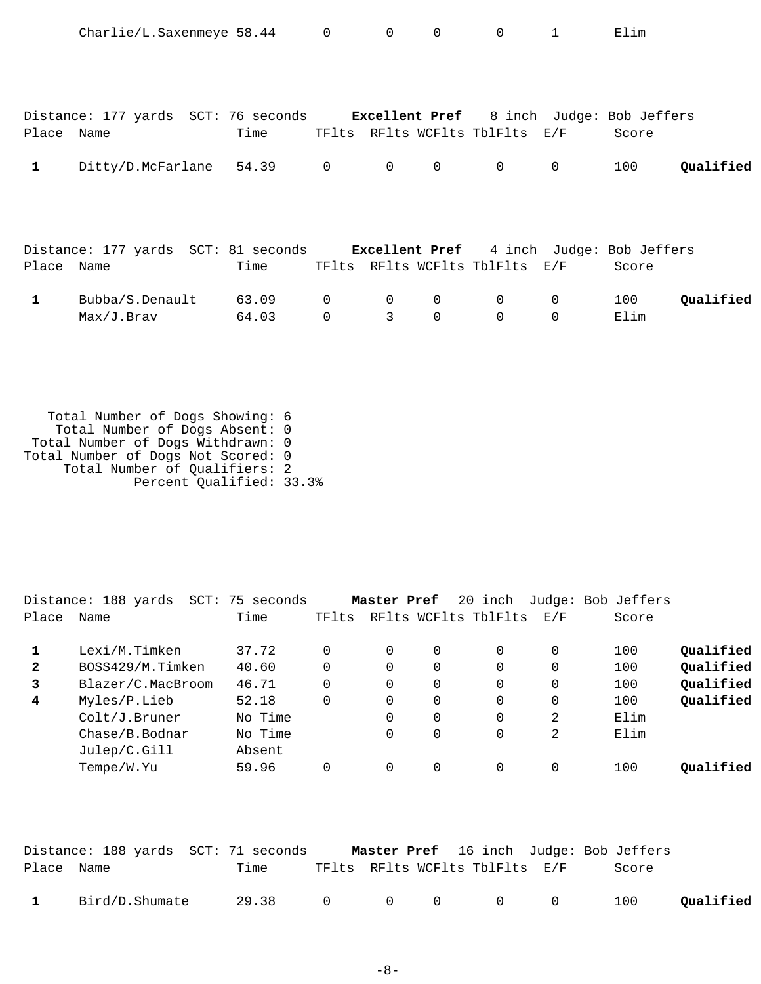|              | Charlie/L.Saxenmeye 58.44 0                                                  |       |              | $\overline{0}$ | $\mathbf 0$ | $\mathbf 0$                    | $\mathbf{1}$ | Elim  |           |
|--------------|------------------------------------------------------------------------------|-------|--------------|----------------|-------------|--------------------------------|--------------|-------|-----------|
|              |                                                                              |       |              |                |             |                                |              |       |           |
|              |                                                                              |       |              |                |             |                                |              |       |           |
|              | Distance: 177 yards SCT: 76 seconds Excellent Pref 8 inch Judge: Bob Jeffers |       |              |                |             |                                |              |       |           |
| Place Name   |                                                                              | Time  |              |                |             | TFlts RFlts WCFlts TblFlts E/F |              | Score |           |
|              |                                                                              |       |              |                |             |                                |              |       |           |
| 1            | Ditty/D.McFarlane                                                            | 54.39 | $\mathsf{O}$ | $\overline{0}$ | $\mathbf 0$ | $\mathbf 0$                    | $\mathbf{0}$ | 100   | Qualified |
|              |                                                                              |       |              |                |             |                                |              |       |           |
|              |                                                                              |       |              |                |             |                                |              |       |           |
|              |                                                                              |       |              |                |             |                                |              |       |           |
|              |                                                                              |       |              |                |             |                                |              |       |           |
|              | Distance: 177 yards SCT: 81 seconds Excellent Pref 4 inch Judge: Bob Jeffers |       |              |                |             |                                |              |       |           |
| Place Name   |                                                                              | Time  |              |                |             | TFlts RFlts WCFlts TblFlts E/F |              | Score |           |
|              |                                                                              |       |              |                |             |                                |              |       |           |
| $\mathbf{1}$ | Bubba/S.Denault                                                              | 63.09 | $\mathbf 0$  | 0              | $\mathbf 0$ | 0                              | 0            | 100   | Qualified |
|              | Max/J.Brav                                                                   | 64.03 | $\mathbf 0$  | 3              | $\mathbf 0$ | $\mathbf 0$                    | $\mathbf 0$  | Elim  |           |

 Total Number of Dogs Showing: 6 Total Number of Dogs Absent: 0 Total Number of Dogs Withdrawn: 0 Total Number of Dogs Not Scored: 0 Total Number of Qualifiers: 2 Percent Qualified: 33.3%

|              | Distance: 188 yards<br>$SCT$ : | 75 seconds |          | Master Pref |   | 20 inch              |          | Judge: Bob Jeffers |           |
|--------------|--------------------------------|------------|----------|-------------|---|----------------------|----------|--------------------|-----------|
| Place        | Name                           | Time       | TFlts    |             |   | RFlts WCFlts TblFlts | E/F      | Score              |           |
|              | Lexi/M.Timken                  | 37.72      |          | 0           | 0 | $\Omega$             | 0        | 100                | Qualified |
| $\mathbf{2}$ | BOSS429/M.Timken               | 40.60      |          | 0           | 0 | $\Omega$             | $\Omega$ | 100                | Qualified |
| 3            | Blazer/C.MacBroom              | 46.71      | $\Omega$ | 0           | 0 | $\Omega$             | $\Omega$ | 100                | Qualified |
| 4            | Myles/P.Lieb                   | 52.18      | 0        | 0           | 0 | 0                    | 0        | 100                | Qualified |
|              | Colt/J.Bruner                  | No Time    |          | 0           | 0 | $\Omega$             | 2        | Elim               |           |
|              | Chase/B.Bodnar                 | No Time    |          | 0           | 0 | 0                    | 2        | Elim               |           |
|              | Julep/C.Gill                   | Absent     |          |             |   |                      |          |                    |           |
|              | Tempe/W.Yu                     | 59.96      |          |             | 0 | $\Omega$             |          | 100                | Oualified |
|              |                                |            |          |             |   |                      |          |                    |           |

|            | Distance: 188 yards SCT: 71 seconds |      |                 |                                |  | <b>Master Pref</b> 16 inch Judge: Bob Jeffers |           |
|------------|-------------------------------------|------|-----------------|--------------------------------|--|-----------------------------------------------|-----------|
| Place Name |                                     | Time |                 | TFlts RFlts WCFlts TblFlts E/F |  | Score                                         |           |
|            | 1 Bird/D.Shumate                    |      | 29.38 0 0 0 0 0 |                                |  | 100                                           | Qualified |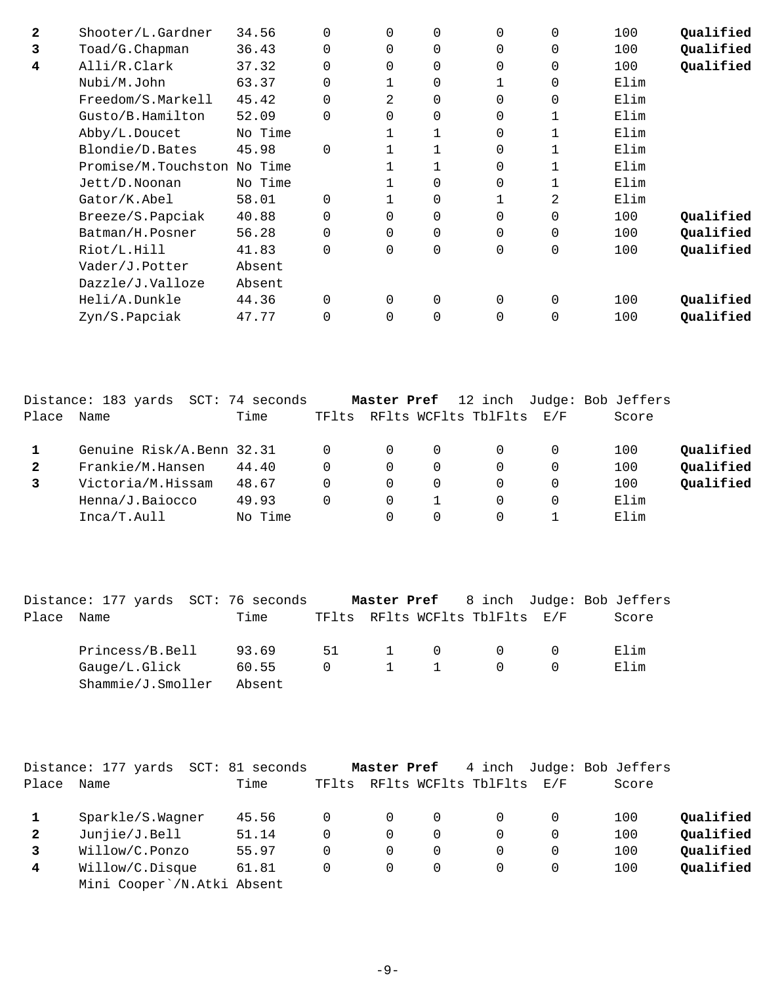| $\mathbf{2}$ | Shooter/L.Gardner           | 34.56   | 0        | $\Omega$ | $\Omega$    | $\Omega$ | 0            | 100  | Qualified |
|--------------|-----------------------------|---------|----------|----------|-------------|----------|--------------|------|-----------|
| 3            | Toad/G.Chapman              | 36.43   |          | $\Omega$ | 0           | $\Omega$ | 0            | 100  | Qualified |
| 4            | Alli/R.Clark                | 37.32   | 0        | $\Omega$ | $\Omega$    | $\Omega$ | $\mathbf 0$  | 100  | Qualified |
|              | Nubi/M.John                 | 63.37   | $\Omega$ |          | $\mathbf 0$ |          | $\mathbf 0$  | Elim |           |
|              | Freedom/S.Markell           | 45.42   | $\Omega$ | 2        | $\mathbf 0$ | 0        | $\mathbf 0$  | Elim |           |
|              | Gusto/B.Hamilton            | 52.09   | $\Omega$ | $\Omega$ | $\mathbf 0$ | $\Omega$ | $\mathbf{1}$ | Elim |           |
|              | Abby/L.Doucet               | No Time |          |          |             | $\Omega$ | $\mathbf{1}$ | Elim |           |
|              | Blondie/D.Bates             | 45.98   | $\Omega$ |          |             | 0        |              | Elim |           |
|              | Promise/M.Touchston No Time |         |          |          |             | 0        | 1            | Elim |           |
|              | Jett/D.Noonan               | No Time |          |          | 0           | 0        | 1            | Elim |           |
|              | Gator/K.Abel                | 58.01   | $\Omega$ |          | 0           |          | 2            | Elim |           |
|              | Breeze/S.Papciak            | 40.88   |          | $\Omega$ | $\Omega$    | $\Omega$ | $\mathbf 0$  | 100  | Qualified |
|              | Batman/H.Posner             | 56.28   |          | $\Omega$ | $\Omega$    | $\Omega$ | $\mathbf 0$  | 100  | Qualified |
|              | Riot/L.Hill                 | 41.83   | $\Omega$ | $\Omega$ | 0           | $\Omega$ | $\mathbf 0$  | 100  | Qualified |
|              | Vader/J.Potter              | Absent  |          |          |             |          |              |      |           |
|              | Dazzle/J.Valloze            | Absent  |          |          |             |          |              |      |           |
|              | Heli/A.Dunkle               | 44.36   | $\Omega$ | $\Omega$ | $\Omega$    | $\Omega$ | $\Omega$     | 100  | Qualified |
|              | Zyn/S.Papciak               | 47.77   |          | $\Omega$ | $\Omega$    | 0        | $\Omega$     | 100  | Oualified |
|              |                             |         |          |          |             |          |              |      |           |

|       | Distance: 183 yards SCT: 74 seconds |         |       | Master Pref |          |                          |   | 12 inch Judge: Bob Jeffers |           |
|-------|-------------------------------------|---------|-------|-------------|----------|--------------------------|---|----------------------------|-----------|
| Place | Name                                | Time    | TFlts |             |          | RFlts WCFlts TblFlts E/F |   | Score                      |           |
|       | Genuine Risk/A.Benn 32.31           |         |       |             | $\Omega$ |                          | 0 | 100                        | Qualified |
| 2     | Frankie/M.Hansen                    | 44.40   | 0     | 0           | $\Omega$ |                          | 0 | 100                        | Qualified |
|       | Victoria/M.Hissam                   | 48.67   | 0     |             | 0        |                          | 0 | 100                        | Qualified |
|       | Henna/J.Baiocco                     | 49.93   | 0     | 0           |          | 0                        | 0 | Elim                       |           |
|       | Inca/T.Aull                         | No Time |       |             | $\Omega$ |                          |   | Elim                       |           |

|            | Distance: 177 yards SCT: 76 seconds |        |  |                       | Master Pref 8 inch Judge: Bob Jeffers |            |       |
|------------|-------------------------------------|--------|--|-----------------------|---------------------------------------|------------|-------|
| Place Name |                                     | Time   |  |                       | TFlts RFlts WCFlts TblFlts E/F        |            | Score |
|            | Princess/B.Bell                     | 93.69  |  | 51 1 0                |                                       | $\Omega$ 0 | Elim  |
|            | Gauge/L.Glick                       | 60.55  |  | $0 \qquad 1 \qquad 1$ | $\Omega$                              |            | Elim  |
|            | Shammie/J.Smoller                   | Absent |  |                       |                                       |            |       |

|              | Distance: 177 yards<br>$SCT$ : | 81 seconds |       | Master Pref |          | 4 inch                   |          | Judge: Bob Jeffers |           |
|--------------|--------------------------------|------------|-------|-------------|----------|--------------------------|----------|--------------------|-----------|
| Place        | Name                           | Time       | TFlts |             |          | RFlts WCFlts TblFlts E/F |          | Score              |           |
|              | Sparkle/S.Wagner               | 45.56      |       | $\Omega$    | $\Omega$ |                          |          | 100                | Qualified |
| $\mathbf{2}$ | Junjie/J.Bell                  | 51.14      |       | 0           | 0        |                          | 0        | 100                | Qualified |
|              | Willow/C.Ponzo                 | 55.97      |       | $\Omega$    | $\Omega$ |                          | $\Omega$ | 100                | Qualified |
| 4            | Willow/C.Disque                | 61.81      |       | 0           | 0        |                          | 0        | 100                | Qualified |
|              | Mini Cooper / N. Atki Absent   |            |       |             |          |                          |          |                    |           |
|              |                                |            |       |             |          |                          |          |                    |           |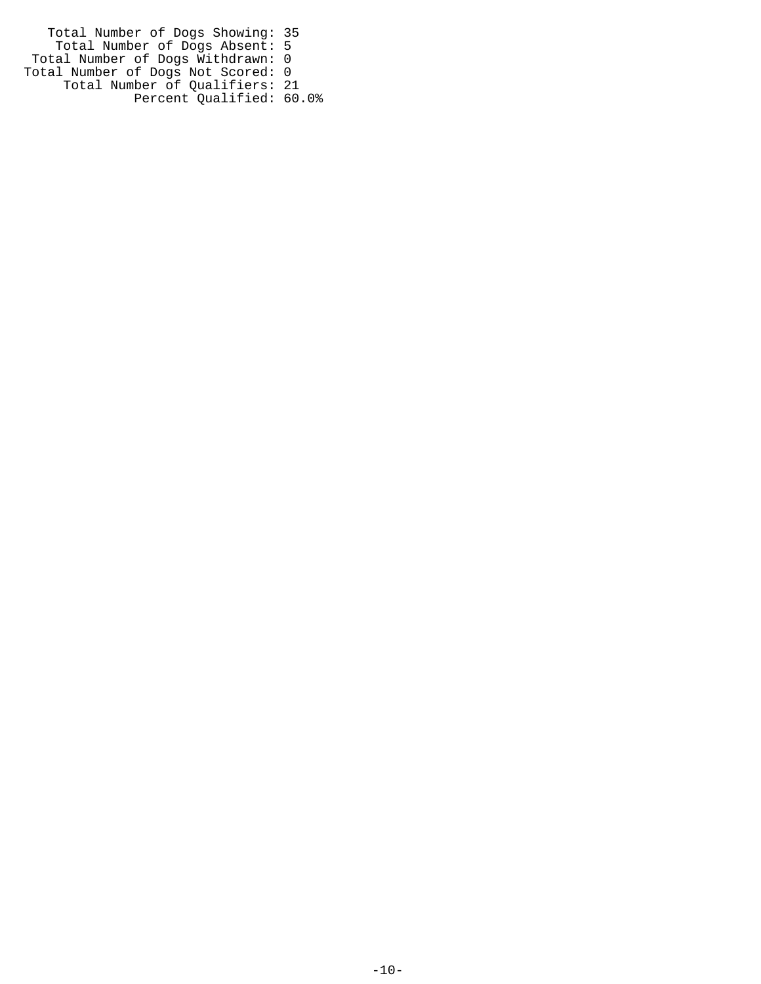Total Number of Dogs Showing: 35 Total Number of Dogs Absent: 5 Total Number of Dogs Withdrawn: 0 Total Number of Dogs Not Scored: 0 Total Number of Qualifiers: 21 Percent Qualified: 60.0%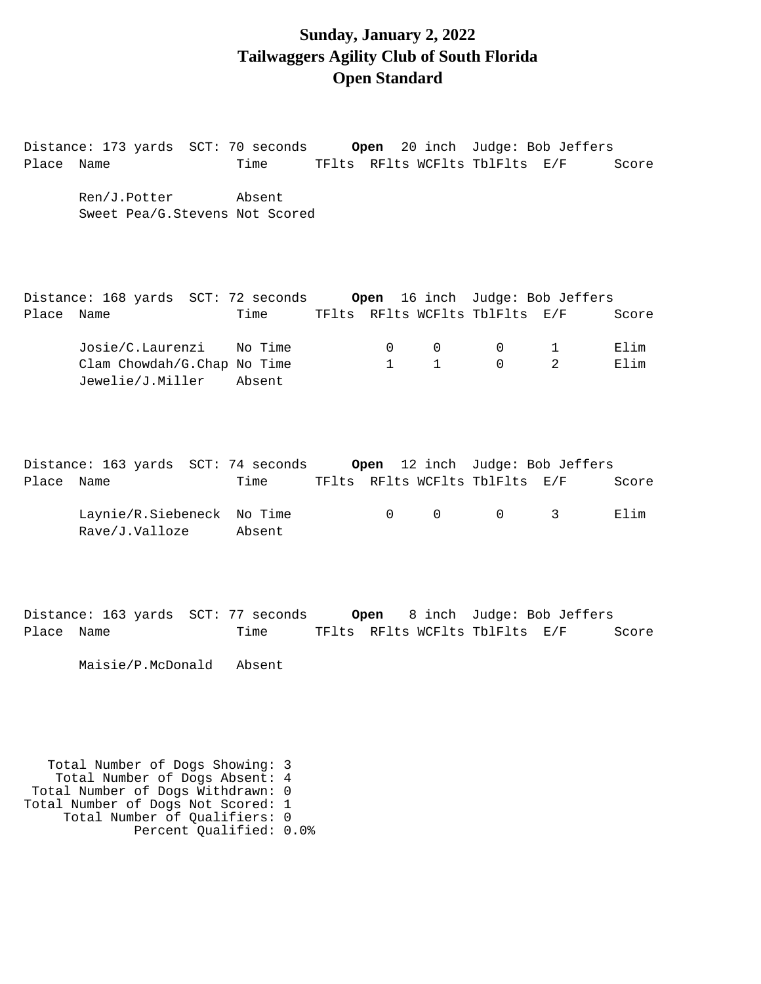#### **Sunday, January 2, 2022 Tailwaggers Agility Club of South Florida Open Standard**

Distance: 173 yards SCT: 70 seconds **Open** 20 inch Judge: Bob Jeffers Place Name Time TFlts RFlts WCFlts TblFlts E/F Score Ren/J.Potter Absent Sweet Pea/G.Stevens Not Scored Distance: 168 yards SCT: 72 seconds **Open** 16 inch Judge: Bob Jeffers Place Name Time TFlts RFlts WCFlts TblFlts E/F Score Josie/C.Laurenzi No Time 0 0 0 1 Elim Clam Chowdah/G.Chap No Time  $1$  1 0 2 Elim

Distance: 163 yards SCT: 74 seconds **Open** 12 inch Judge: Bob Jeffers Place Name Time TFlts RFlts WCFlts TblFlts E/F Score

 Laynie/R.Siebeneck No Time 0 0 0 3 Elim Rave/J.Valloze Absent

Distance: 163 yards SCT: 77 seconds **Open** 8 inch Judge: Bob Jeffers Place Name Time TFlts RFlts WCFlts TblFlts E/F Score

Maisie/P.McDonald Absent

Jewelie/J.Miller Absent

 Total Number of Dogs Showing: 3 Total Number of Dogs Absent: 4 Total Number of Dogs Withdrawn: 0 Total Number of Dogs Not Scored: 1 Total Number of Qualifiers: 0 Percent Qualified: 0.0%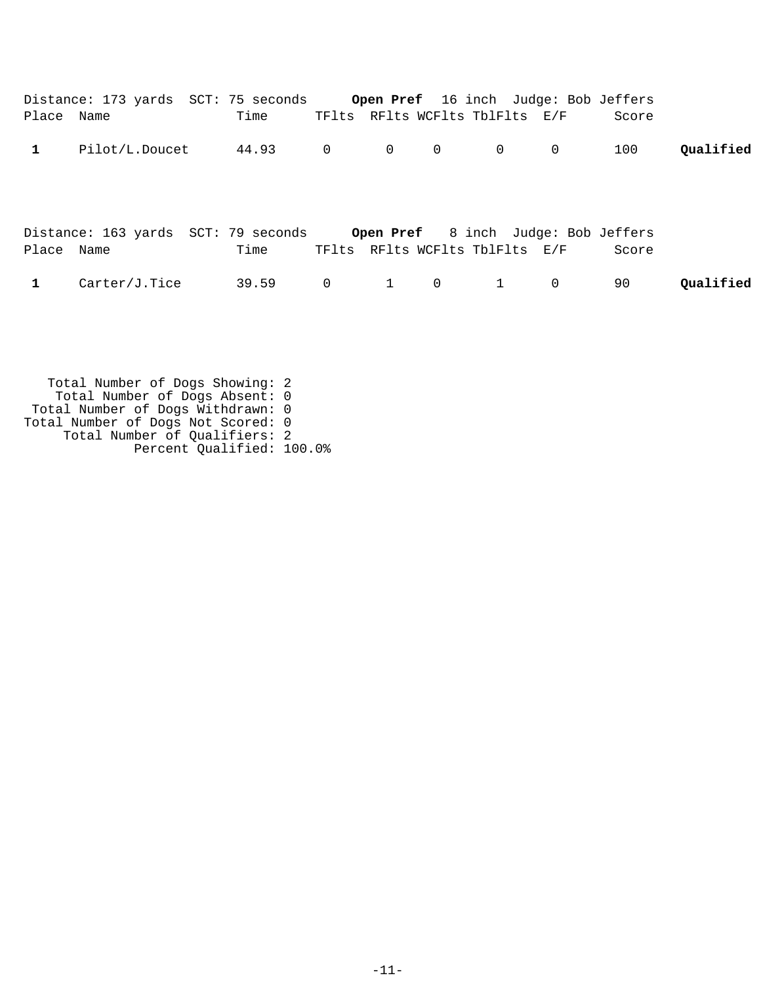| Place Name   | Distance: 173 yards SCT: 75 seconds Open Pref 16 inch Judge: Bob Jeffers | Time    |                   |                | TFlts RFlts WCFlts TblFlts E/F |              | Score |           |
|--------------|--------------------------------------------------------------------------|---------|-------------------|----------------|--------------------------------|--------------|-------|-----------|
| $\mathbf{1}$ | Pilot/L.Doucet                                                           | 44.93 0 | $\overline{0}$    | $\mathbf 0$    | 0                              | $\mathbf 0$  | 100   | Qualified |
|              |                                                                          |         |                   |                |                                |              |       |           |
| Place Name   | Distance: 163 yards SCT: 79 seconds Open Pref 8 inch Judge: Bob Jeffers  | Time    |                   |                | TFlts RFlts WCFlts TblFlts E/F |              | Score |           |
| $\mathbf{1}$ | Carter/J.Tice                                                            | 39.59 0 | $1 \qquad \qquad$ | $\overline{0}$ | $1 \quad \cdots$               | $\mathsf{O}$ | 90    | Qualified |
|              |                                                                          |         |                   |                |                                |              |       |           |
|              |                                                                          |         |                   |                |                                |              |       |           |

 Total Number of Dogs Showing: 2 Total Number of Dogs Absent: 0 Total Number of Dogs Withdrawn: 0 Total Number of Dogs Not Scored: 0 Total Number of Qualifiers: 2 Percent Qualified: 100.0%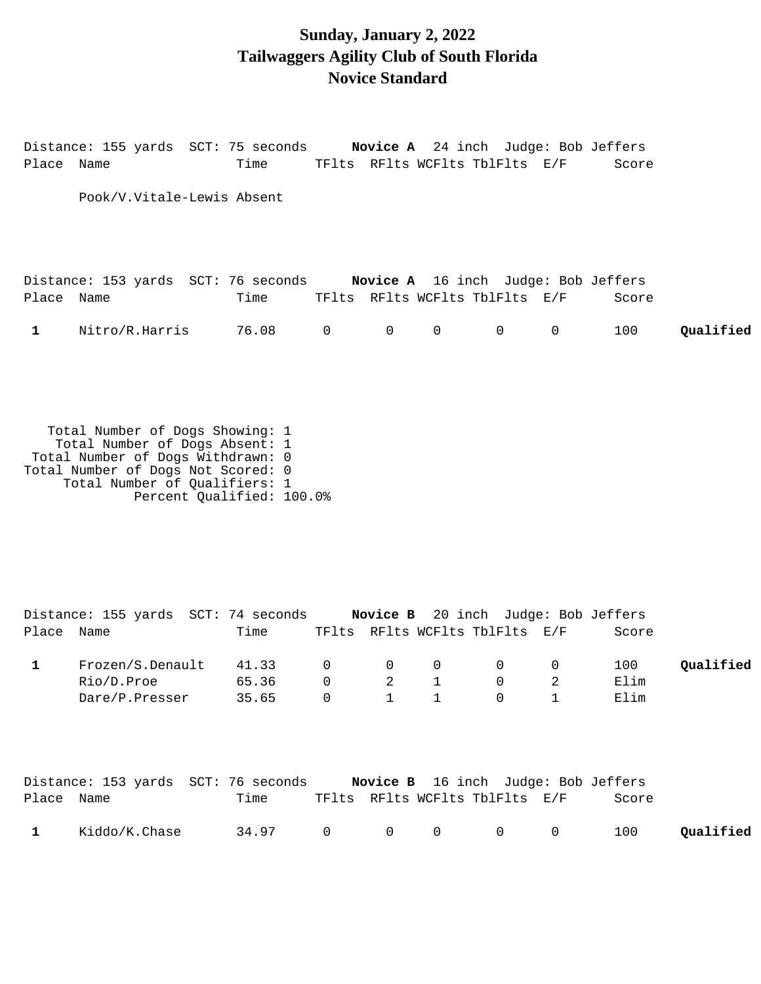## **Sunday, January 2, 2022 Tailwaggers Agility Club of South Florida Novice Standard**

Distance: 155 yards SCT: 75 seconds **Novice A** 24 inch Judge: Bob Jeffers Place Name Time TFlts RFlts WCFlts TblFlts E/F Score Pook/V.Vitale-Lewis Absent Distance: 153 yards SCT: 76 seconds **Novice A** 16 inch Judge: Bob Jeffers Place Name Time TFlts RFlts WCFlts TblFlts E/F Score 1 Nitro/R.Harris 76.08 0 0 0 0 0 100 **Qualified** 

 Total Number of Dogs Showing: 1 Total Number of Dogs Absent: 1 Total Number of Dogs Withdrawn: 0 Total Number of Dogs Not Scored: 0 Total Number of Qualifiers: 1 Percent Qualified: 100.0%

|            | Distance: 155 yards SCT: 74 seconds                                     |         |                |                                        |              | <b>Novice B</b> 20 inch Judge: Bob Jeffers |                |       |           |
|------------|-------------------------------------------------------------------------|---------|----------------|----------------------------------------|--------------|--------------------------------------------|----------------|-------|-----------|
| Place Name |                                                                         | Time    |                |                                        |              | TFlts RFlts WCFlts TblFlts E/F             |                | Score |           |
|            | Frozen/S.Denault                                                        | 41.33 0 |                | $\begin{matrix}0&0\end{matrix}$        |              | $\overline{0}$                             | $\overline{0}$ | 100   | Oualified |
|            | Rio/D.Proe 65.36 0 2 1                                                  |         |                |                                        |              | $\overline{0}$                             | 2              | Elim  |           |
|            | Dare/P.Presser 35.65                                                    |         | $\overline{0}$ | $\begin{array}{ccc} & 1 & \end{array}$ | $\mathbf{1}$ | $\overline{0}$                             | $\mathbf 1$    | Elim  |           |
| Place Name | Distance: 153 yards SCT: 76 seconds Novice B 16 inch Judge: Bob Jeffers | Time    |                |                                        |              | TFlts RFlts WCFlts TblFlts E/F             |                | Score |           |

| 1 Kiddo/K.Chase 34.97 0 0 0 0 0 100 Qualified |  |  |  |  |
|-----------------------------------------------|--|--|--|--|
|                                               |  |  |  |  |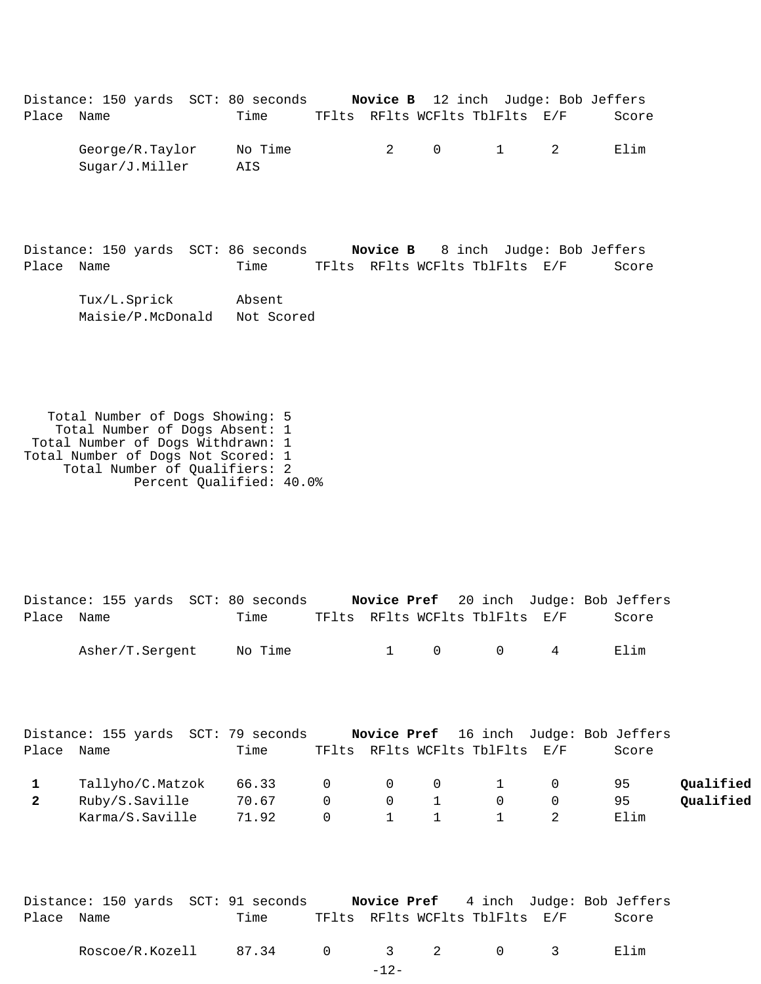|            | Distance: 150 yards SCT: 80 seconds |                |  |                                | Novice B 12 inch Judge: Bob Jeffers |
|------------|-------------------------------------|----------------|--|--------------------------------|-------------------------------------|
| Place Name |                                     | Time           |  | TFlts RFlts WCFlts TblFlts E/F | Score                               |
|            | George/R.Taylor<br>Sugar/J.Miller   | No Time<br>AIS |  | 2 0 1 2                        | Elim                                |

Distance: 150 yards SCT: 86 seconds **Novice B** 8 inch Judge: Bob Jeffers Place Name Time TFlts RFlts WCFlts TblFlts E/F Score

 Tux/L.Sprick Absent Maisie/P.McDonald Not Scored

 Total Number of Dogs Showing: 5 Total Number of Dogs Absent: 1 Total Number of Dogs Withdrawn: 1 Total Number of Dogs Not Scored: 1 Total Number of Qualifiers: 2 Percent Qualified: 40.0%

Distance: 155 yards SCT: 80 seconds **Novice Pref** 20 inch Judge: Bob Jeffers Place Name Time TFlts RFlts WCFlts TblFlts E/F Score Asher/T.Sergent No Time 1 0 0 4 Elim Distance: 155 yards SCT: 79 seconds **Novice Pref** 16 inch Judge: Bob Jeffers Place Name Time TFlts RFlts WCFlts TblFlts E/F Score

|   | Tallyho/C.Matzok 66.33 |       |           |                                              |           |                | 95   | Qualified |
|---|------------------------|-------|-----------|----------------------------------------------|-----------|----------------|------|-----------|
| 2 | Ruby/S.Saville         | 70.67 | $\bigcap$ | $\begin{array}{ccc} & & 0 & & 1 \end{array}$ | $\bigcap$ | $\overline{0}$ | 95.  | Oualified |
|   | Karma/S.Saville        | 71.92 |           |                                              | 1 1 1 2   |                | Elim |           |

|            |  |  | Distance: 150 yards SCT: 91 seconds |                                |  |  |  | <b>Novice Pref</b> 4 inch Judge: Bob Jeffers |
|------------|--|--|-------------------------------------|--------------------------------|--|--|--|----------------------------------------------|
| Place Name |  |  | Time                                | TFlts RFlts WCFlts TblFlts E/F |  |  |  | Score                                        |
|            |  |  |                                     |                                |  |  |  |                                              |

| Roscoe/<br>/R.Kozell | 44<br>. |  |  | ım<br>.<br>п. |
|----------------------|---------|--|--|---------------|
|                      |         |  |  |               |

-12-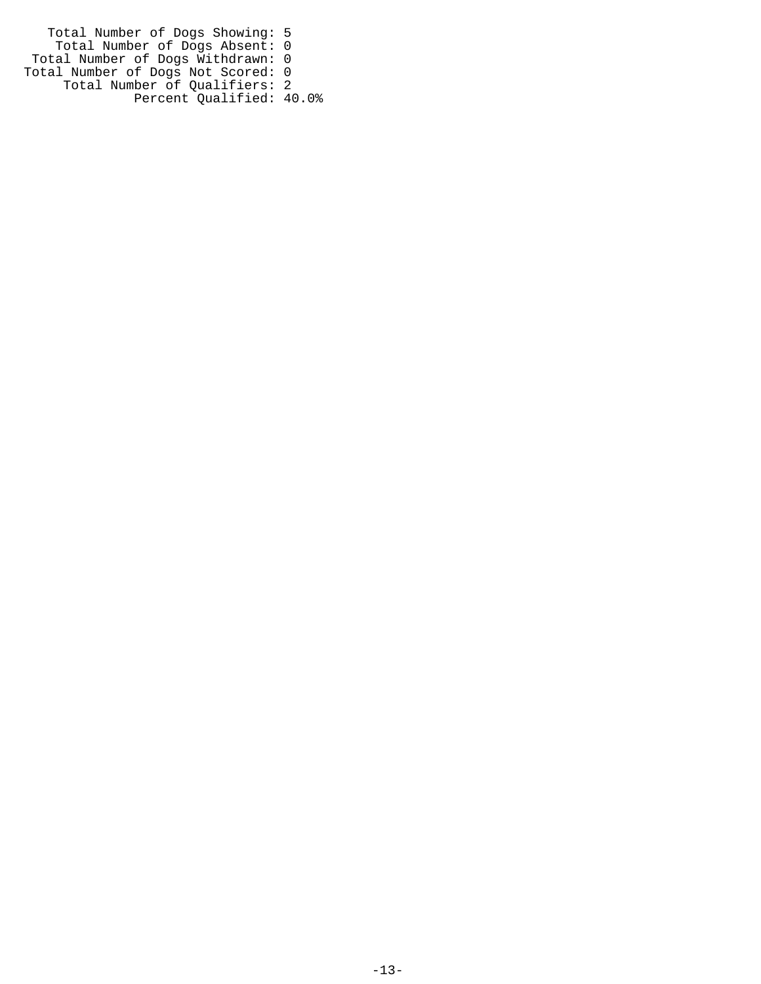Total Number of Dogs Showing: 5 Total Number of Dogs Absent: 0 Total Number of Dogs Withdrawn: 0 Total Number of Dogs Not Scored: 0 Total Number of Qualifiers: 2 Percent Qualified: 40.0%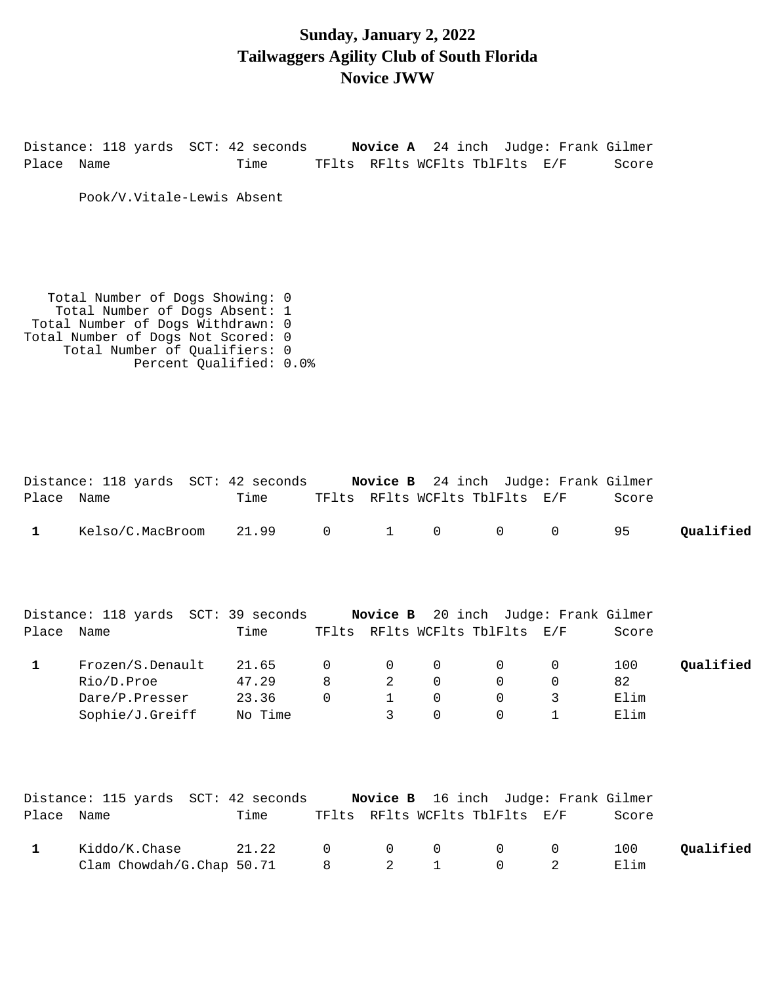#### **Sunday, January 2, 2022 Tailwaggers Agility Club of South Florida Novice JWW**

Distance: 118 yards SCT: 42 seconds **Novice A** 24 inch Judge: Frank Gilmer Place Name Time TFlts RFlts WCFlts TblFlts E/F Score

Pook/V.Vitale-Lewis Absent

 Total Number of Dogs Showing: 0 Total Number of Dogs Absent: 1 Total Number of Dogs Withdrawn: 0 Total Number of Dogs Not Scored: 0 Total Number of Qualifiers: 0 Percent Qualified: 0.0%

|              | Distance: 118 yards SCT: 42 seconds                                          |                                    |                              |                                                    |                                       |                                          | <b>Novice B</b> 24 inch Judge: Frank Gilmer |                           |           |
|--------------|------------------------------------------------------------------------------|------------------------------------|------------------------------|----------------------------------------------------|---------------------------------------|------------------------------------------|---------------------------------------------|---------------------------|-----------|
| Place Name   |                                                                              | Time                               |                              |                                                    | TFlts RFlts WCFlts TblFlts E/F        |                                          |                                             | Score                     |           |
| $\mathbf{1}$ | Kelso/C.MacBroom                                                             | 21.99                              | $\mathbf 0$                  | $\mathbf{1}$                                       | 0                                     | 0                                        | 0                                           | 95                        | Qualified |
| Place Name   | Distance: 118 yards SCT: 39 seconds     Novice B 20 inch Judge: Frank Gilmer | Time                               |                              |                                                    | TFlts RFlts WCFlts TblFlts E/F        |                                          |                                             | Score                     |           |
| $\mathbf{1}$ | Frozen/S.Denault<br>Rio/D.Proe<br>Dare/P.Presser<br>Sophie/J.Greiff          | 21.65<br>47.29<br>23.36<br>No Time | $\mathbf 0$<br>8<br>$\Omega$ | $\mathbf 0$<br>$\overline{2}$<br>$\mathbf{1}$<br>3 | 0<br>$\Omega$<br>$\Omega$<br>$\Omega$ | 0<br>$\mathbf 0$<br>$\Omega$<br>$\Omega$ | 0<br>0<br>3<br>$\mathbf{1}$                 | 100<br>82<br>Elim<br>Elim | Qualified |
| Place Name   | Distance: 115 yards SCT: 42 seconds Novice B 16 inch Judge: Frank Gilmer     | Time                               |                              |                                                    | TFlts RFlts WCFlts TblFlts E/F        |                                          |                                             | Score                     |           |
| $\mathbf{1}$ | Kiddo/K.Chase<br>Clam Chowdah/G.Chap 50.71                                   | 21.22                              | $\Omega$<br>8                | $\mathbf 0$<br>2                                   | 0<br>1                                | 0<br>0                                   | 0<br>2                                      | 100<br>Elim               | Qualified |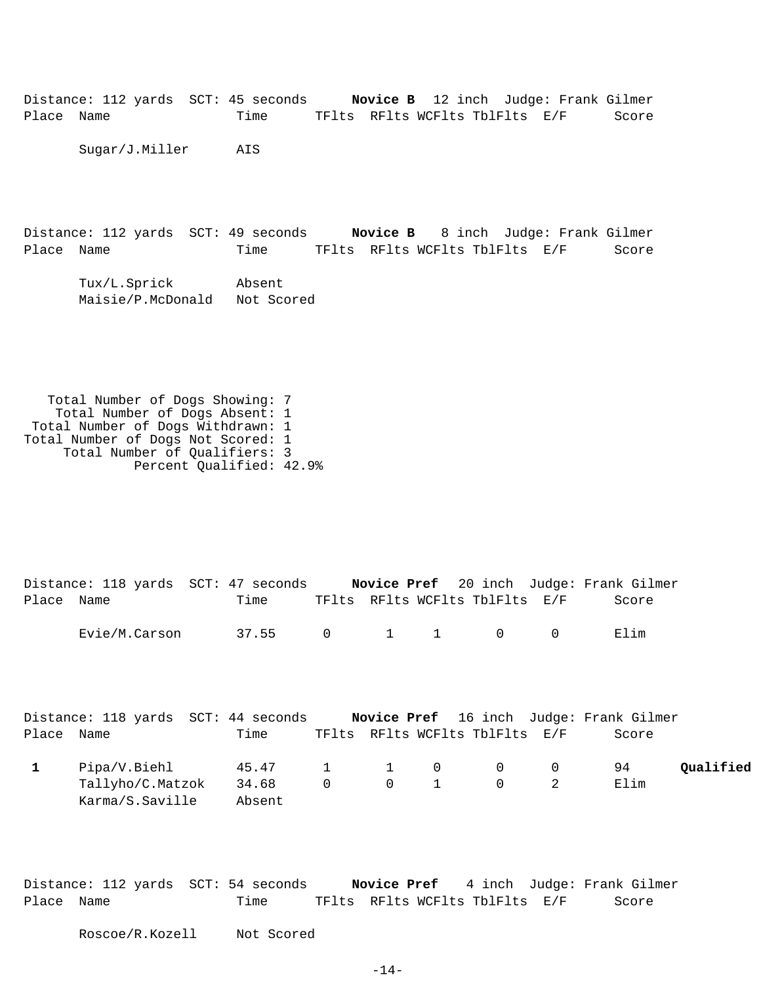Distance: 112 yards SCT: 45 seconds **Novice B** 12 inch Judge: Frank Gilmer Place Name Time TFlts RFlts WCFlts TblFlts E/F Score

Sugar/J.Miller AIS

Distance: 112 yards SCT: 49 seconds **Novice B** 8 inch Judge: Frank Gilmer Place Name Time TFlts RFlts WCFlts TblFlts E/F Score

 Tux/L.Sprick Absent Maisie/P.McDonald Not Scored

 Total Number of Dogs Showing: 7 Total Number of Dogs Absent: 1 Total Number of Dogs Withdrawn: 1 Total Number of Dogs Not Scored: 1 Total Number of Qualifiers: 3 Percent Qualified: 42.9%

Distance: 118 yards SCT: 47 seconds **Novice Pref** 20 inch Judge: Frank Gilmer Place Name Time TFlts RFlts WCFlts TblFlts E/F Score Evie/M.Carson 37.55 0 1 1 0 0 Elim

|            | Distance: 118 yards SCT: 44 seconds |                 |  |                                | Novice Pref 16 inch Judge: Frank Gilmer |           |
|------------|-------------------------------------|-----------------|--|--------------------------------|-----------------------------------------|-----------|
| Place Name |                                     | Time            |  | TFlts RFlts WCFlts TblFlts E/F | Score                                   |           |
|            | Pipa/V.Biehl                        | 45.47 1 1 0 0 0 |  |                                | 94                                      | Oualified |
|            | Tallyho/C.Matzok                    | 34.68           |  |                                | Elim                                    |           |
|            | Karma/S.Saville                     | Absent          |  |                                |                                         |           |

Distance: 112 yards SCT: 54 seconds **Novice Pref** 4 inch Judge: Frank Gilmer Place Name Time TFlts RFlts WCFlts TblFlts E/F Score

Roscoe/R.Kozell Not Scored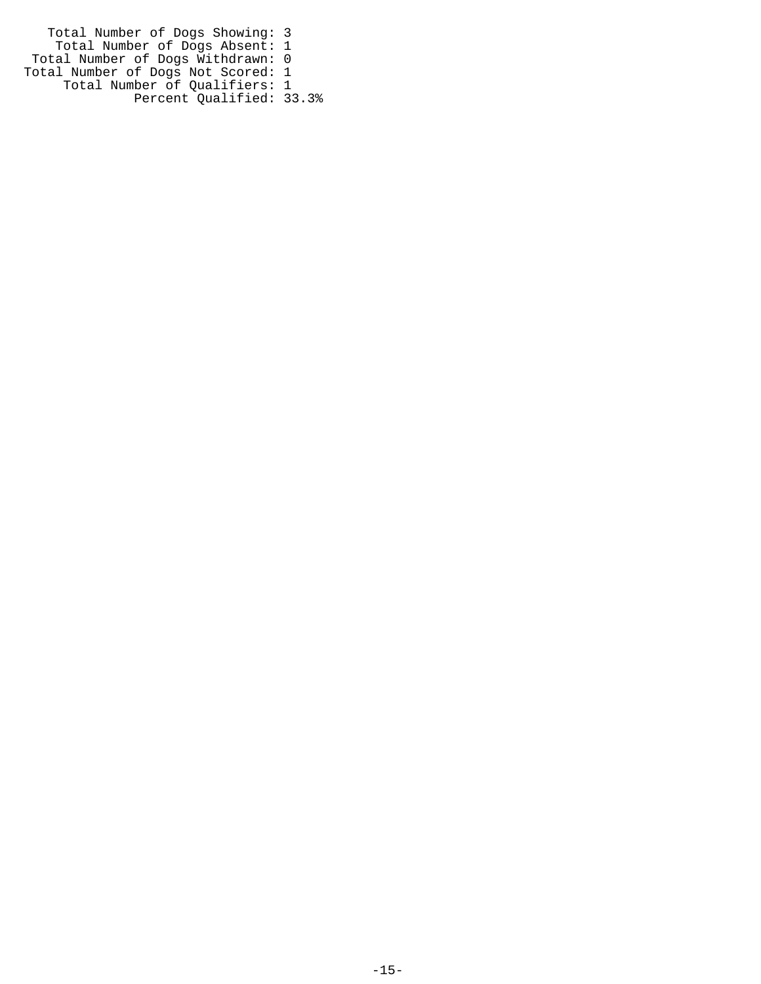Total Number of Dogs Showing: 3 Total Number of Dogs Absent: 1 Total Number of Dogs Withdrawn: 0 Total Number of Dogs Not Scored: 1 Total Number of Qualifiers: 1 Percent Qualified: 33.3%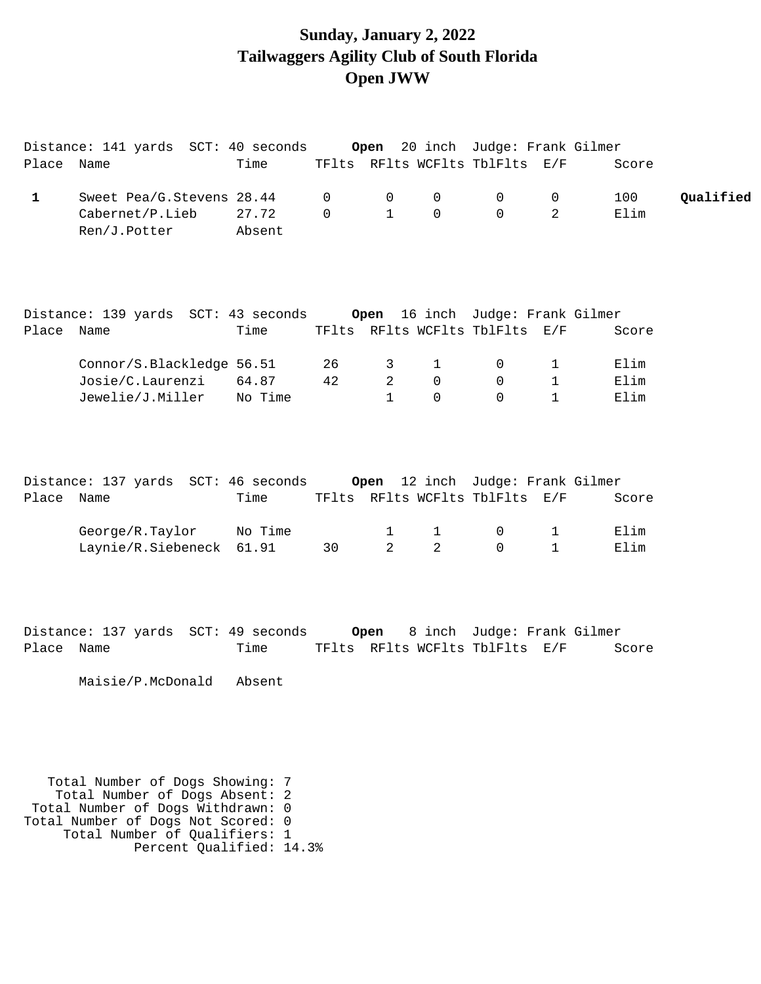## **Sunday, January 2, 2022 Tailwaggers Agility Club of South Florida Open JWW**

| Place Name   | Distance: 141 yards SCT: 40 seconds Open 20 inch Judge: Frank Gilmer      | Time            |                             |                             |                                      | TFlts RFlts WCFlts TblFlts E/F         |                                   | Score                |           |
|--------------|---------------------------------------------------------------------------|-----------------|-----------------------------|-----------------------------|--------------------------------------|----------------------------------------|-----------------------------------|----------------------|-----------|
| $\mathbf{1}$ | Sweet Pea/G.Stevens 28.44<br>Cabernet/P.Lieb<br>Ren/J.Potter              | 27.72<br>Absent | $\mathbf 0$<br>$\mathsf{O}$ | $\mathbf 0$<br>$\mathbf{1}$ | $\mathbf 0$<br>$\mathsf{O}$          | $\mathbf 0$<br>$\Omega$                | $\mathbf 0$<br>$\overline{2}$     | 100<br>Elim          | Qualified |
| Place Name   | Distance: 139 yards SCT: 43 seconds Open 16 inch Judge: Frank Gilmer      | Time            |                             |                             |                                      | TFlts RFlts WCFlts TblFlts E/F         |                                   | Score                |           |
|              | Connor/S.Blackledge 56.51<br>Josie/C.Laurenzi<br>Jewelie/J.Miller No Time | 64.87           | 26<br>42                    | 3<br>2<br>$\mathbf{1}$      | $\mathbf{1}$<br>$\Omega$<br>$\Omega$ | $\overline{0}$<br>$\Omega$<br>$\Omega$ | $\mathbf{1}$<br>1<br>$\mathbf{1}$ | Elim<br>Elim<br>Elim |           |
| Place Name   | Distance: 137 yards SCT: 46 seconds Open 12 inch Judge: Frank Gilmer      | Time            |                             |                             |                                      | TFlts RFlts WCFlts TblFlts E/F         |                                   | Score                |           |
|              | George/R.Taylor<br>Laynie/R.Siebeneck 61.91                               | No Time         | 30                          | 1<br>2                      | $\mathbf{1}$<br>2                    | $\overline{0}$<br>$\Omega$             | $\mathbf{1}$<br>$\mathbf{1}$      | Elim<br>Elim         |           |
|              |                                                                           |                 |                             |                             |                                      |                                        |                                   |                      |           |

Distance: 137 yards SCT: 49 seconds **Open** 8 inch Judge: Frank Gilmer Place Name Time TFlts RFlts WCFlts TblFlts E/F Score

Maisie/P.McDonald Absent

 Total Number of Dogs Showing: 7 Total Number of Dogs Absent: 2 Total Number of Dogs Withdrawn: 0 Total Number of Dogs Not Scored: 0 Total Number of Qualifiers: 1 Percent Qualified: 14.3%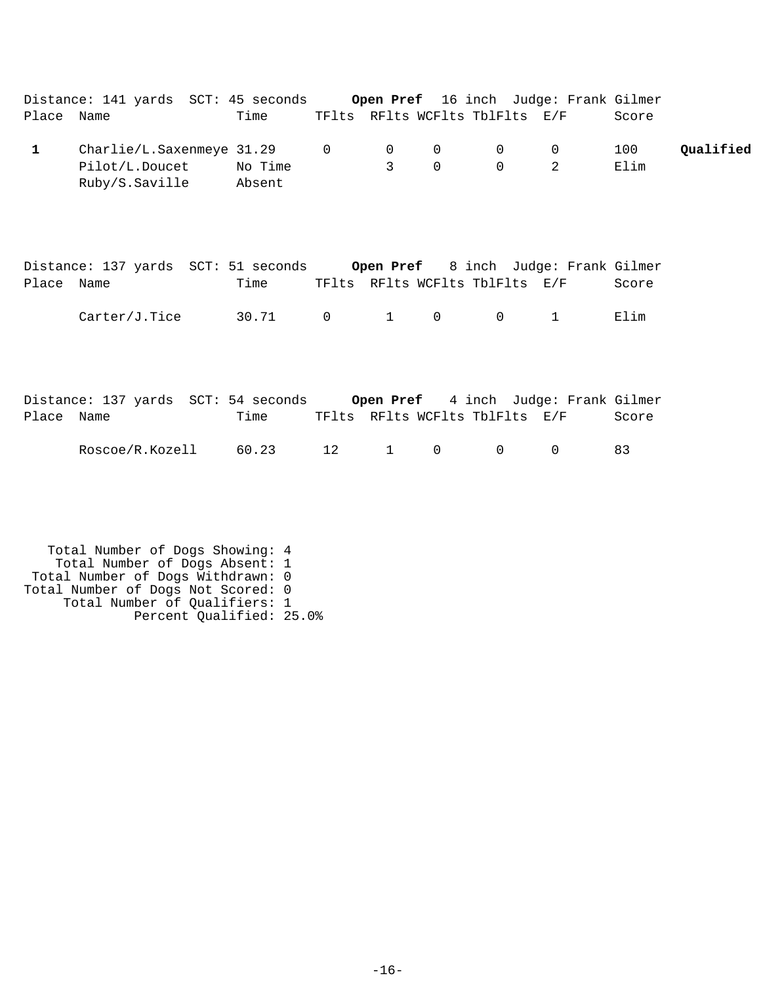|              | Distance: 141 yards SCT: 45 seconds Open Pref 16 inch Judge: Frank Gilmer                             |      |                     |                            |                                |                                                |               |           |
|--------------|-------------------------------------------------------------------------------------------------------|------|---------------------|----------------------------|--------------------------------|------------------------------------------------|---------------|-----------|
| Place Name   |                                                                                                       | Time |                     |                            | TFlts RFlts WCFlts TblFlts E/F |                                                | Score         |           |
| $\mathbf{1}$ | Charlie/L.Saxenmeye 31.29 0<br>Pilot/L.Doucet No Time<br>Ruby/S.Saville Absent                        |      | $\overline{0}$<br>3 | $\overline{0}$<br>$\Omega$ | $\overline{0}$<br>$\Omega$     | $\overline{0}$<br>2                            | 100<br>Elim   | Qualified |
| Place Name   | Distance: 137 yards SCT: 51 seconds Open Pref 8 inch Judge: Frank Gilmer<br>$Carter/J.Tice$ 30.71 0 1 | Time |                     | $\overline{0}$             | $\overline{0}$                 | TFlts RFlts WCFlts TblFlts E/F<br>$\mathbf{1}$ | Score<br>Elim |           |
| Place Name   | Distance: 137 yards SCT: 54 seconds Open Pref 4 inch Judge: Frank Gilmer                              | Time |                     |                            | TFlts RFlts WCFlts TblFlts E/F |                                                | Score         |           |

Roscoe/R.Kozell 60.23 12 1 0 0 0 83

 Total Number of Dogs Showing: 4 Total Number of Dogs Absent: 1 Total Number of Dogs Withdrawn: 0 Total Number of Dogs Not Scored: 0 Total Number of Qualifiers: 1 Percent Qualified: 25.0%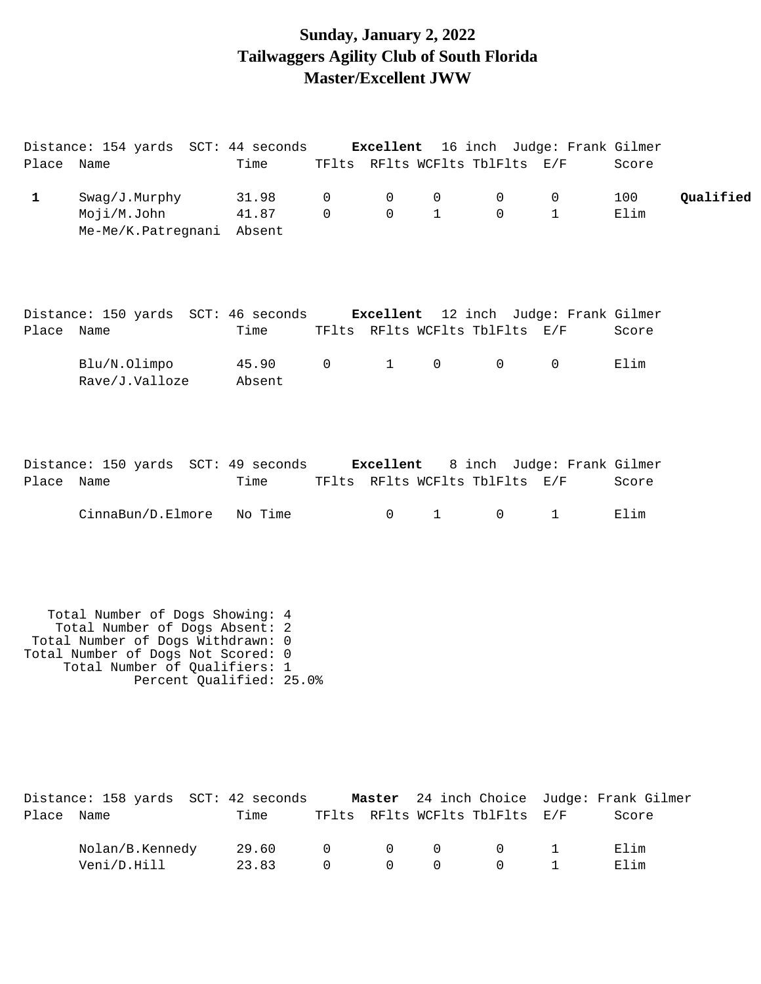## **Sunday, January 2, 2022 Tailwaggers Agility Club of South Florida Master/Excellent JWW**

|             | Distance: 154 yards SCT: 44 seconds Excellent 16 inch Judge: Frank Gilmer                                                                                                                                 |                          |              |                  |                   |                                              |                            |                              |           |
|-------------|-----------------------------------------------------------------------------------------------------------------------------------------------------------------------------------------------------------|--------------------------|--------------|------------------|-------------------|----------------------------------------------|----------------------------|------------------------------|-----------|
| Place Name  |                                                                                                                                                                                                           | Time                     |              |                  |                   | TFlts RFlts WCFlts TblFlts E/F               |                            | Score                        |           |
| $\mathbf 1$ | Swag/J.Murphy<br>Moji/M.John<br>Me-Me/K.Patregnani                                                                                                                                                        | 31.98<br>41.87<br>Absent | 0<br>0       | 0<br>$\mathbf 0$ | 0<br>$\mathbf{1}$ | 0<br>$\Omega$                                | 0<br>$\mathbf{1}$          | 100<br>Elim                  | Qualified |
| Place Name  | Distance: 150 yards SCT: 46 seconds Excellent 12 inch Judge: Frank Gilmer                                                                                                                                 | Time                     |              |                  |                   | TFlts RFlts WCFlts TblFlts E/F               |                            | Score                        |           |
|             | Blu/N.Olimpo<br>Rave/J.Valloze                                                                                                                                                                            | 45.90<br>Absent          | $\mathsf{O}$ | 1                | $\mathsf{O}$      | $\overline{0}$                               | $\overline{0}$             | Elim                         |           |
| Place Name  | Distance: 150 yards SCT: 49 seconds Excellent                                                                                                                                                             | Time                     |              |                  |                   | TFlts RFlts WCFlts TblFlts E/F               | 8 inch Judge: Frank Gilmer | Score                        |           |
|             | CinnaBun/D.Elmore                                                                                                                                                                                         | No Time                  |              | $\mathsf{O}$     | 1                 | $\overline{0}$                               | $\mathbf{1}$               | Elim                         |           |
|             | Total Number of Dogs Showing: 4<br>Total Number of Dogs Absent: 2<br>Total Number of Dogs Withdrawn: 0<br>Total Number of Dogs Not Scored: 0<br>Total Number of Qualifiers: 1<br>Percent Qualified: 25.0% |                          |              |                  |                   |                                              |                            |                              |           |
| Place       | Distance: 158 yards SCT: 42 seconds<br>Name                                                                                                                                                               | Time                     |              | Master           |                   | 24 inch Choice<br>TFlts RFlts WCFlts TblFlts | E/F                        | Judge: Frank Gilmer<br>Score |           |
|             | Nolan/B.Kennedy<br>Veni/D.Hill                                                                                                                                                                            | 29.60<br>23.83           | 0<br>0       | 0<br>$\Omega$    | 0<br>0            | 0<br>0                                       | 1<br>1                     | Elim<br>Elim                 |           |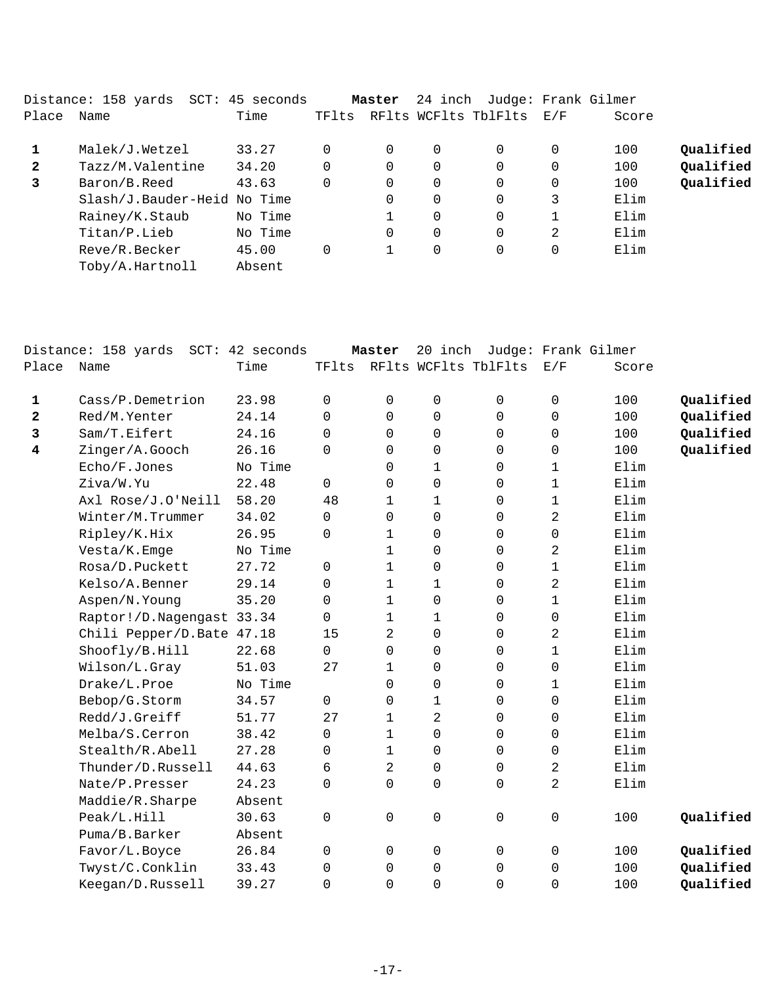| Name             | Time                      | TFlts                                     |          |          |          |                                 | Score             |                     |
|------------------|---------------------------|-------------------------------------------|----------|----------|----------|---------------------------------|-------------------|---------------------|
| Malek/J.Wetzel   | 33.27                     |                                           | $\Omega$ | $\Omega$ | 0        | $\Omega$                        | 100               | Qualified           |
| Tazz/M.Valentine | 34.20                     |                                           | $\Omega$ | $\Omega$ | 0        | $\Omega$                        | 100               | Qualified           |
| Baron/B.Reed     | 43.63                     |                                           | 0        | 0        | $\Omega$ | 0                               | 100               | Qualified           |
|                  |                           |                                           | 0        | 0        | $\Omega$ | 3                               | Elim              |                     |
| Rainey/K.Staub   | No Time                   |                                           |          | 0        | 0        |                                 | Elim              |                     |
| Titan/P.Lieb     | No Time                   |                                           | 0        | $\Omega$ | $\Omega$ | 2                               | Elim              |                     |
| Reve/R.Becker    | 45.00                     |                                           |          | 0        | 0        | 0                               | Elim              |                     |
| Toby/A.Hartnoll  | Absent                    |                                           |          |          |          |                                 |                   |                     |
|                  | Distance: 158 yards  SCT: | 45 seconds<br>Slash/J.Bauder-Heid No Time |          | Master   |          | 24 inch<br>RFlts WCFlts TblFlts | $\rm E$ / $\rm F$ | Judge: Frank Gilmer |

|       | Distance: 158 yards SCT: 42 seconds |         |              | Master       | 20 inch        |                      |                | Judge: Frank Gilmer |           |
|-------|-------------------------------------|---------|--------------|--------------|----------------|----------------------|----------------|---------------------|-----------|
| Place | Name                                | Time    | TFlts        |              |                | RFlts WCFlts TblFlts | E/F            | Score               |           |
| 1     | Cass/P.Demetrion                    | 23.98   | $\mathbf 0$  | 0            | 0              | 0                    | 0              | 100                 | Qualified |
| 2     | Red/M.Yenter                        | 24.14   | $\mathbf 0$  | 0            | 0              | 0                    | 0              | 100                 | Qualified |
| 3     | Sam/T.Eifert                        | 24.16   | $\Omega$     | $\Omega$     | 0              | 0                    | $\mathbf 0$    | 100                 | Qualified |
| 4     | Zinger/A.Gooch                      | 26.16   | $\Omega$     | 0            | 0              | 0                    | 0              | 100                 | Qualified |
|       | Echo/F.Jones                        | No Time |              | $\Omega$     | $\mathbf 1$    | $\mathbf 0$          | $\mathbf 1$    | Elim                |           |
|       | Ziva/W.Yu                           | 22.48   | $\mathsf{O}$ | 0            | 0              | 0                    | $\mathbf 1$    | Elim                |           |
|       | Axl Rose/J.O'Neill                  | 58.20   | 48           | $\mathbf{1}$ | $\mathbf 1$    | $\Omega$             | $\mathbf 1$    | Elim                |           |
|       | Winter/M.Trummer                    | 34.02   | $\mathbf 0$  | 0            | $\mathbf 0$    | $\mathbf 0$          | 2              | Elim                |           |
|       | Ripley/K.Hix                        | 26.95   | $\mathbf 0$  | $\mathbf 1$  | 0              | 0                    | 0              | Elim                |           |
|       | Vesta/K.Emge                        | No Time |              | $\mathbf{1}$ | 0              | $\mathbf 0$          | 2              | Elim                |           |
|       | Rosa/D.Puckett                      | 27.72   | $\mathbf 0$  | $\mathbf 1$  | 0              | 0                    | $\mathbf 1$    | Elim                |           |
|       | Kelso/A.Benner                      | 29.14   | $\Omega$     | $\mathbf{1}$ | 1              | $\mathbf 0$          | 2              | Elim                |           |
|       | Aspen/N.Young                       | 35.20   | $\mathbf 0$  | $\mathbf{1}$ | 0              | 0                    | $\mathbf 1$    | Elim                |           |
|       | Raptor!/D.Nagengast 33.34           |         | $\Omega$     | 1            | 1              | $\mathbf 0$          | $\mathbf 0$    | Elim                |           |
|       | Chili Pepper/D.Bate 47.18           |         | 15           | 2            | 0              | $\mathbf 0$          | 2              | Elim                |           |
|       | Shoofly/B.Hill                      | 22.68   | $\mathsf{O}$ | 0            | 0              | 0                    | 1              | Elim                |           |
|       | Wilson/L.Gray                       | 51.03   | 27           | $\mathbf 1$  | $\mathbf 0$    | $\mathbf 0$          | 0              | Elim                |           |
|       | Drake/L.Proe                        | No Time |              | 0            | $\mathbf 0$    | 0                    | $\mathbf 1$    | Elim                |           |
|       | Bebop/G.Storm                       | 34.57   | $\mathsf{O}$ | 0            | $\mathbf 1$    | 0                    | 0              | Elim                |           |
|       | Redd/J.Greiff                       | 51.77   | 27           | $\mathbf 1$  | $\overline{a}$ | $\mathbf 0$          | 0              | Elim                |           |
|       | Melba/S.Cerron                      | 38.42   | $\Omega$     | $\mathbf{1}$ | $\mathbf 0$    | $\mathbf 0$          | $\mathbf 0$    | Elim                |           |
|       | Stealth/R.Abell                     | 27.28   | $\Omega$     | $\mathbf 1$  | 0              | $\mathbf 0$          | $\mathbf 0$    | Elim                |           |
|       | Thunder/D.Russell                   | 44.63   | 6            | 2            | 0              | $\mathbf 0$          | 2              | Elim                |           |
|       | Nate/P.Presser                      | 24.23   | $\mathbf 0$  | 0            | 0              | $\mathsf 0$          | $\overline{2}$ | Elim                |           |
|       | Maddie/R.Sharpe                     | Absent  |              |              |                |                      |                |                     |           |
|       | Peak/L.Hill                         | 30.63   | $\mathbf 0$  | 0            | 0              | $\mathbf 0$          | 0              | 100                 | Qualified |
|       | Puma/B.Barker                       | Absent  |              |              |                |                      |                |                     |           |
|       | Favor/L.Boyce                       | 26.84   | 0            | 0            | 0              | 0                    | 0              | 100                 | Qualified |
|       | Twyst/C.Conklin                     | 33.43   | $\mathbf 0$  | 0            | 0              | 0                    | 0              | 100                 | Qualified |
|       | Keegan/D.Russell                    | 39.27   | $\mathbf 0$  | 0            | 0              | 0                    | 0              | 100                 | Qualified |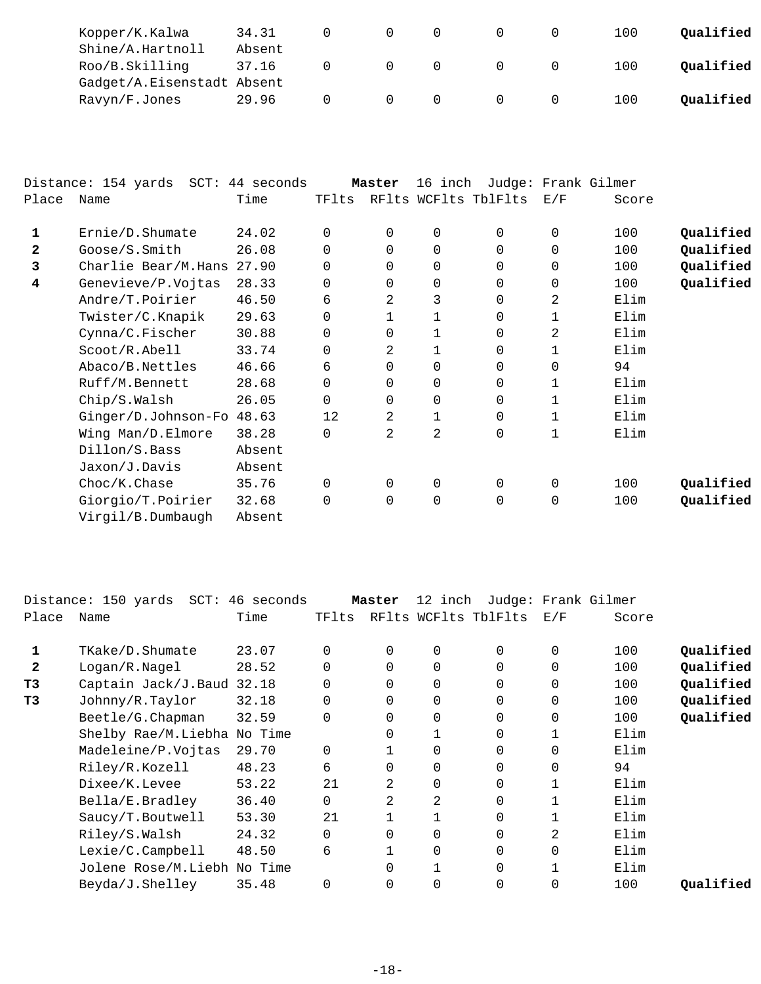| Kopper/K.Kalwa             | 34.31  |  |  | 100 | Oualified |
|----------------------------|--------|--|--|-----|-----------|
| Shine/A.Hartnoll           | Absent |  |  |     |           |
| Roo/B.Skilling             | 37.16  |  |  | 100 | Oualified |
| Gadget/A.Eisenstadt Absent |        |  |  |     |           |
| Ravyn/F.Jones              | 29.96  |  |  | 100 | Oualified |

|              | Distance: 154 yards SCT: 44 seconds |        |          | Master   | 16 inch     |                      |                | Judge: Frank Gilmer |           |
|--------------|-------------------------------------|--------|----------|----------|-------------|----------------------|----------------|---------------------|-----------|
| Place        | Name                                | Time   | TFlts    |          |             | RFlts WCFlts TblFlts | E/F            | Score               |           |
| 1            | Ernie/D.Shumate                     | 24.02  | 0        | 0        | 0           | 0                    | $\mathbf 0$    | 100                 | Qualified |
| $\mathbf{2}$ | Goose/S.Smith                       | 26.08  | 0        | 0        | $\mathbf 0$ | 0                    | $\mathbf 0$    | 100                 | Qualified |
| 3            | Charlie Bear/M.Hans                 | 27.90  | $\Omega$ | $\Omega$ | $\mathbf 0$ | 0                    | $\mathbf 0$    | 100                 | Qualified |
| 4            | Genevieve/P.Vojtas                  | 28.33  | 0        | $\Omega$ | 0           | 0                    | $\mathbf 0$    | 100                 | Qualified |
|              | Andre/T.Poirier                     | 46.50  | 6        | 2        | 3           | 0                    | $\overline{a}$ | Elim                |           |
|              | Twister/C.Knapik                    | 29.63  | 0        |          |             | 0                    |                | Elim                |           |
|              | Cynna/C.Fischer                     | 30.88  | 0        | 0        |             | 0                    | 2              | Elim                |           |
|              | Scoot/R.Abell                       | 33.74  | 0        | 2        |             | 0                    |                | Elim                |           |
|              | Abaco/B.Nettles                     | 46.66  | 6        | 0        | $\mathbf 0$ | 0                    | $\mathbf 0$    | 94                  |           |
|              | Ruff/M.Bennett                      | 28.68  | 0        | 0        | 0           | 0                    | 1              | Elim                |           |
|              | Chip/S.Walsh                        | 26.05  | $\Omega$ | $\Omega$ | 0           | 0                    | 1              | Elim                |           |
|              | Ginger/D.Johnson-Fo                 | 48.63  | 12       | 2        | 1           | 0                    |                | Elim                |           |
|              | Wing Man/D.Elmore                   | 38.28  | 0        | 2        | 2           | 0                    | 1              | Elim                |           |
|              | Dillon/S.Bass                       | Absent |          |          |             |                      |                |                     |           |
|              | Jaxon/J.Davis                       | Absent |          |          |             |                      |                |                     |           |
|              | Choc/K.Chase                        | 35.76  | 0        | $\Omega$ | 0           | 0                    | $\mathbf 0$    | 100                 | Qualified |
|              | Giorgio/T.Poirier                   | 32.68  | 0        | 0        | 0           | 0                    | 0              | 100                 | Qualified |
|              | Virgil/B.Dumbaugh                   | Absent |          |          |             |                      |                |                     |           |

|              | Distance: 150 yards SCT: 46 seconds |       |          | Master   | 12 inch     |                      |             | Judge: Frank Gilmer |           |
|--------------|-------------------------------------|-------|----------|----------|-------------|----------------------|-------------|---------------------|-----------|
| Place        | Name                                | Time  | TFlts    |          |             | RFlts WCFlts TblFlts | E/F         | Score               |           |
| 1            | TKake/D.Shumate                     | 23.07 | $\Omega$ | 0        | $\mathbf 0$ | $\Omega$             | 0           | 100                 | Qualified |
| $\mathbf{2}$ | Logan/R.Naqel                       | 28.52 | 0        | 0        | $\mathbf 0$ | 0                    | 0           | 100                 | Qualified |
| T3           | Captain Jack/J.Baud 32.18           |       | 0        | $\Omega$ | $\mathbf 0$ | 0                    | $\mathbf 0$ | 100                 | Qualified |
| T3           | Johnny/R.Taylor                     | 32.18 | 0        | $\Omega$ | $\mathbf 0$ | 0                    | $\mathbf 0$ | 100                 | Qualified |
|              | Beetle/G. Chapman                   | 32.59 | 0        | $\Omega$ | $\mathbf 0$ | 0                    | $\mathbf 0$ | 100                 | Qualified |
|              | Shelby Rae/M.Liebha No Time         |       |          | 0        |             | 0                    |             | Elim                |           |
|              | Madeleine/P.Vojtas                  | 29.70 | 0        |          | 0           | 0                    | 0           | Elim                |           |
|              | Riley/R.Kozell                      | 48.23 | 6        | 0        | $\mathbf 0$ | 0                    | $\mathbf 0$ | 94                  |           |
|              | Dixee/K.Levee                       | 53.22 | 21       | 2        | $\mathbf 0$ | 0                    |             | Elim                |           |
|              | Bella/E.Bradley                     | 36.40 | 0        | 2        | 2           | 0                    |             | Elim                |           |
|              | Saucy/T.Boutwell                    | 53.30 | 21       |          |             | 0                    |             | Elim                |           |
|              | Riley/S.Walsh                       | 24.32 | $\Omega$ | $\Omega$ | $\mathbf 0$ | 0                    | 2           | Elim                |           |
|              | Lexie/C.Campbell                    | 48.50 | 6        |          | $\mathbf 0$ | 0                    | 0           | Elim                |           |
|              | Jolene Rose/M.Liebh No Time         |       |          | $\Omega$ |             | 0                    | 1           | Elim                |           |
|              | Beyda/J.Shelley                     | 35.48 | $\Omega$ | $\Omega$ | 0           | 0                    | $\mathbf 0$ | 100                 | Qualified |
|              |                                     |       |          |          |             |                      |             |                     |           |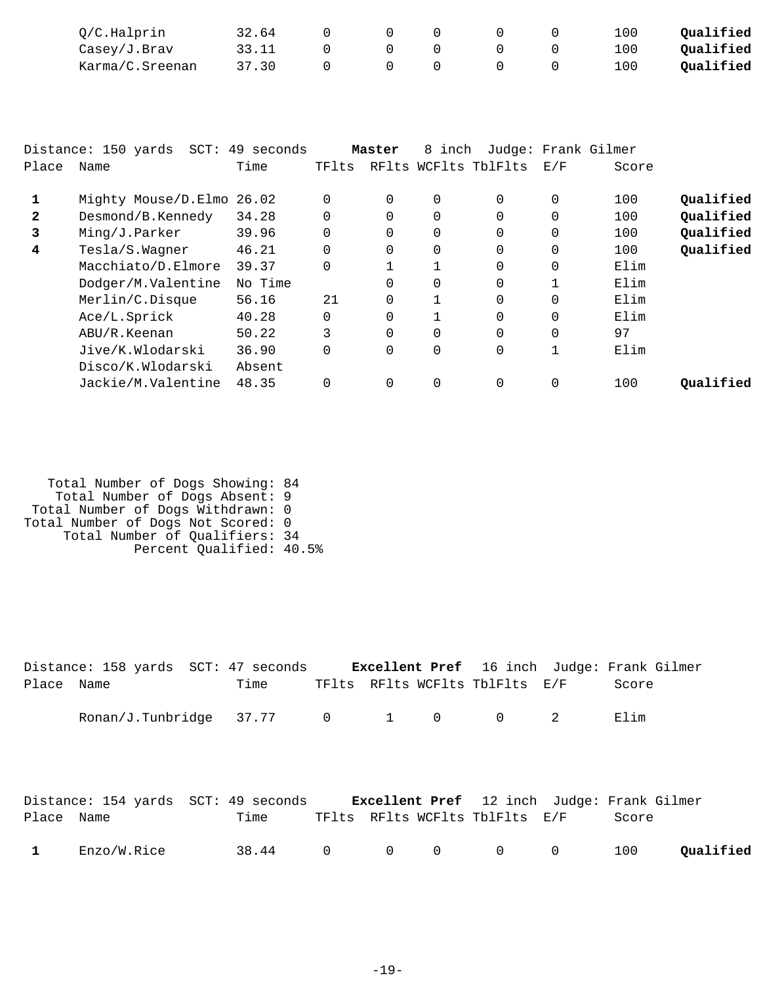| O/C.Halprin     | 32.64 |  |  | 100 | Qualified |
|-----------------|-------|--|--|-----|-----------|
| Casey/J.Brav    | 33.11 |  |  | ⊥00 | Qualified |
| Karma/C.Sreenan | 37.30 |  |  | 100 | Qualified |

|              | Distance: 150 yards SCT: 49 seconds |         |          | Master   | 8 inch       |                      |              | Judge: Frank Gilmer |           |
|--------------|-------------------------------------|---------|----------|----------|--------------|----------------------|--------------|---------------------|-----------|
| Place        | Name                                | Time    | TFlts    |          |              | RFlts WCFlts TblFlts | E/F          | Score               |           |
|              | Mighty Mouse/D.Elmo 26.02           |         | 0        | 0        | 0            | $\Omega$             | 0            | 100                 | Oualified |
| $\mathbf{2}$ | Desmond/B.Kennedy                   | 34.28   | $\Omega$ | $\Omega$ | $\Omega$     |                      | $\Omega$     | 100                 | Qualified |
| 3            | Ming/J.Parker                       | 39.96   | 0        | $\Omega$ | 0            |                      | 0            | 100                 | Qualified |
| 4            | Tesla/S.Wagner                      | 46.21   | $\Omega$ | $\Omega$ | $\Omega$     | $\Omega$             | $\Omega$     | 100                 | Qualified |
|              | Macchiato/D.Elmore                  | 39.37   | 0        |          |              |                      | 0            | Elim                |           |
|              | Dodger/M.Valentine                  | No Time |          | 0        | $\Omega$     | $\Omega$             |              | Elim                |           |
|              | Merlin/C.Disque                     | 56.16   | 21       | $\Omega$ | 1            | $\Omega$             | $\Omega$     | Elim                |           |
|              | Ace/L.Sprick                        | 40.28   | $\Omega$ | $\Omega$ | $\mathbf{1}$ | $\Omega$             | $\Omega$     | Elim                |           |
|              | ABU/R.Keenan                        | 50.22   | 3        | $\Omega$ | $\Omega$     | $\Omega$             | $\Omega$     | 97                  |           |
|              | Jive/K.Wlodarski                    | 36.90   | $\Omega$ | $\Omega$ | 0            | $\Omega$             | $\mathbf{1}$ | Elim                |           |
|              | Disco/K.Wlodarski                   | Absent  |          |          |              |                      |              |                     |           |
|              | Jackie/M.Valentine                  | 48.35   | $\Omega$ | $\Omega$ | $\Omega$     | $\Omega$             | $\Omega$     | 100                 | Oualified |
|              |                                     |         |          |          |              |                      |              |                     |           |

| Total Number of Dogs Showing: 84   |  |
|------------------------------------|--|
| Total Number of Dogs Absent: 9     |  |
| Total Number of Dogs Withdrawn: 0  |  |
| Total Number of Dogs Not Scored: 0 |  |
| Total Number of Qualifiers: 34     |  |
| Percent Qualified: 40.5%           |  |

|              | Distance: 158 yards SCT: 47 seconds <b>Excellent Pref</b> 16 inch Judge: Frank Gilmer |                       |  |                                |       |           |
|--------------|---------------------------------------------------------------------------------------|-----------------------|--|--------------------------------|-------|-----------|
| Place Name   |                                                                                       | Time                  |  | TFlts RFlts WCFlts TblFlts E/F | Score |           |
|              | Ronan/J.Tunbridge $37.77$ 0 1 0 0 2                                                   |                       |  |                                | Elim  |           |
| Place Name   | Distance: 154 yards SCT: 49 seconds Excellent Pref 12 inch Judge: Frank Gilmer        | Time                  |  | TFlts RFlts WCFlts TblFlts E/F | Score |           |
| $\mathbf{1}$ | Enzo/W.Rice                                                                           | $38.44$ 0 0 0 0 0 100 |  |                                |       | Qualified |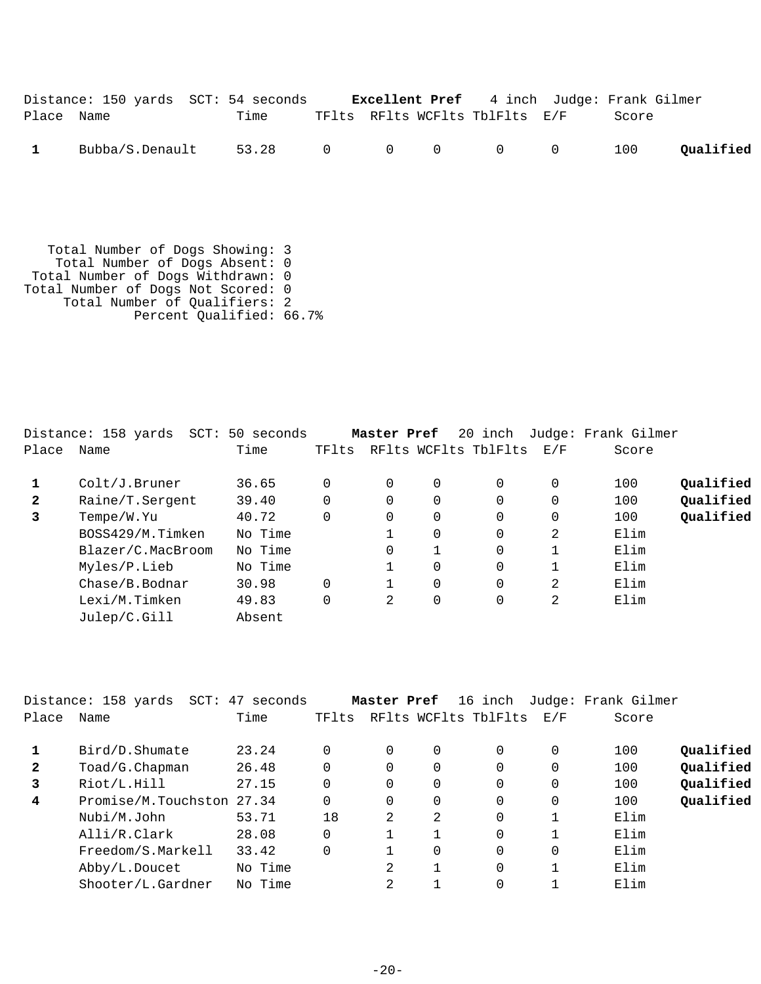|              | Distance: 150 yards SCT: 54 seconds |                     |  | <b>Excellent Pref</b> 4 inch Judge: Frank Gilmer |       |           |
|--------------|-------------------------------------|---------------------|--|--------------------------------------------------|-------|-----------|
| Place Name   |                                     | Time                |  | TFlts RFlts WCFlts TblFlts E/F                   | Score |           |
| $\mathbf{1}$ | Bubba/S.Denault                     | 53.28 0 0 0 0 0 100 |  |                                                  |       | Oualified |

 Total Number of Dogs Showing: 3 Total Number of Dogs Absent: 0 Total Number of Dogs Withdrawn: 0 Total Number of Dogs Not Scored: 0 Total Number of Qualifiers: 2 Percent Qualified: 66.7%

|              | Distance: 158 yards SCT: | 50 seconds |       | Master Pref |          | 20 inch              |     | Judge: Frank Gilmer |           |
|--------------|--------------------------|------------|-------|-------------|----------|----------------------|-----|---------------------|-----------|
| Place        | Name                     | Time       | TFlts |             |          | RFlts WCFlts TblFlts | E/F | Score               |           |
|              | Colt/J.Bruner            | 36.65      |       | $\Omega$    | 0        | 0                    | 0   | 100                 | Qualified |
| $\mathbf{2}$ | Raine/T.Sergent          | 39.40      |       | $\Omega$    | $\Omega$ | 0                    | 0   | 100                 | Qualified |
| 3            | Tempe/W.Yu               | 40.72      |       | $\Omega$    | 0        | $\Omega$             | 0   | 100                 | Qualified |
|              | BOSS429/M.Timken         | No Time    |       |             | $\Omega$ | 0                    | 2   | Elim                |           |
|              | Blazer/C.MacBroom        | No Time    |       | 0           | 1        | 0                    |     | Elim                |           |
|              | Myles/P.Lieb             | No Time    |       |             | 0        | 0                    |     | Elim                |           |
|              | Chase/B.Bodnar           | 30.98      |       |             | $\Omega$ | 0                    | 2   | Elim                |           |
|              | Lexi/M.Timken            | 49.83      |       | 2           | 0        | 0                    | 2   | Elim                |           |
|              | Julep/C.Gill             | Absent     |       |             |          |                      |     |                     |           |

|              | Distance: 158 yards<br>SCT: | 47 seconds |             | Master Pref |          | 16 inch              |          | Judge: Frank Gilmer |           |
|--------------|-----------------------------|------------|-------------|-------------|----------|----------------------|----------|---------------------|-----------|
| Place        | Name                        | Time       | TFlts       |             |          | RFlts WCFlts TblFlts | E/F      | Score               |           |
|              | Bird/D.Shumate              | 23.24      | $\Omega$    | $\Omega$    | 0        | 0                    | 0        | 100                 | Qualified |
| $\mathbf{2}$ | Toad/G.Chapman              | 26.48      | 0           | $\Omega$    | $\Omega$ | 0                    | 0        | 100                 | Qualified |
| 3            | Riot/L.Hill                 | 27.15      | $\Omega$    | $\Omega$    | $\Omega$ | 0                    | $\Omega$ | 100                 | Qualified |
| 4            | Promise/M.Touchston         | 27.34      | $\Omega$    | $\Omega$    | $\Omega$ | 0                    | 0        | 100                 | Qualified |
|              | Nubi/M.John                 | 53.71      | 18          | 2           | 2        | 0                    |          | Elim                |           |
|              | Alli/R.Clark                | 28.08      | $\mathbf 0$ |             |          | 0                    |          | Elim                |           |
|              | Freedom/S.Markell           | 33.42      | $\Omega$    |             | $\Omega$ | 0                    | 0        | Elim                |           |
|              | Abby/L.Doucet               | No Time    |             | 2           |          | 0                    |          | Elim                |           |
|              | Shooter/L.Gardner           | No Time    |             | 2           |          |                      |          | Elim                |           |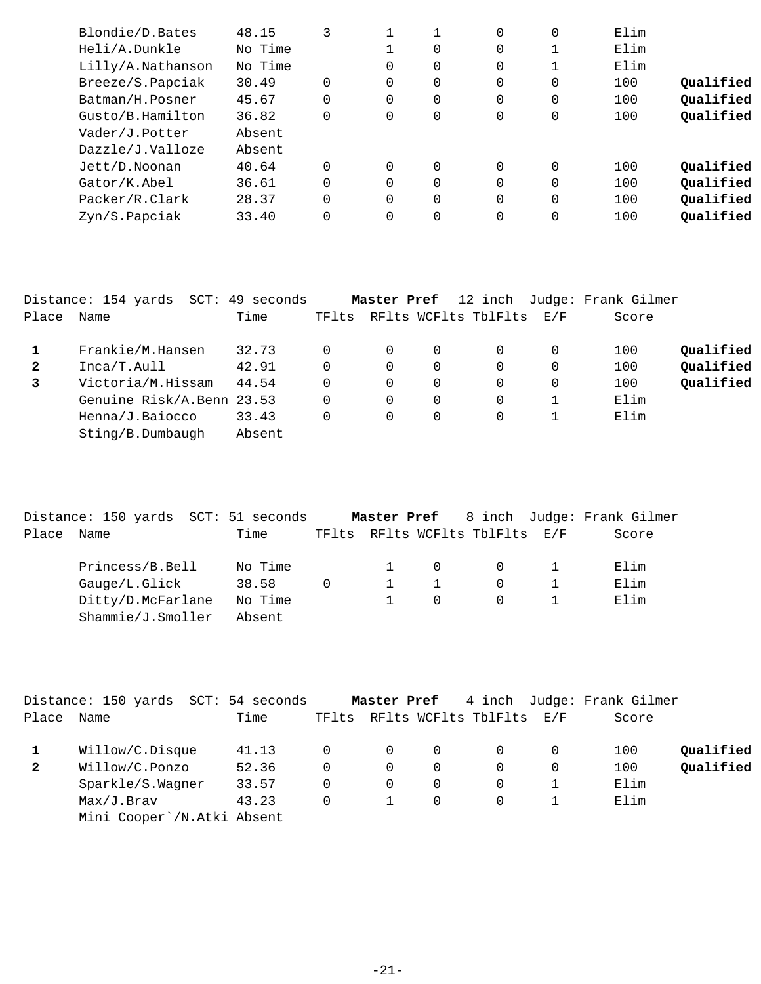| 48.15   |          |                |   | 0        | 0 | Elim |           |
|---------|----------|----------------|---|----------|---|------|-----------|
| No Time |          |                | 0 | 0        |   | Elim |           |
| No Time |          | 0              | 0 | 0        |   | Elim |           |
| 30.49   | $\Omega$ | 0              | 0 | 0        | 0 | 100  | Oualified |
| 45.67   | $\Omega$ | $\Omega$       | 0 | 0        | 0 | 100  | Qualified |
| 36.82   | $\Omega$ | 0              | 0 | 0        | 0 | 100  | Qualified |
| Absent  |          |                |   |          |   |      |           |
| Absent  |          |                |   |          |   |      |           |
| 40.64   |          | $\Omega$       | 0 | 0        | 0 | 100  | Oualified |
| 36.61   | $\Omega$ | $\overline{0}$ | 0 | 0        | 0 | 100  | Qualified |
| 28.37   | $\Omega$ | $\Omega$       | 0 | $\Omega$ | 0 | 100  | Qualified |
| 33.40   | $\Omega$ | 0              | 0 | 0        | 0 | 100  | Qualified |
|         |          |                |   |          |   |      |           |

|              | Distance: 154 yards<br>SCT: | 49 seconds |       | Master Pref | 12 inch              |          | Judge: Frank Gilmer |           |
|--------------|-----------------------------|------------|-------|-------------|----------------------|----------|---------------------|-----------|
| Place        | Name                        | Time       | TFlts |             | RFlts WCFlts TblFlts | E/F      | Score               |           |
|              | Frankie/M.Hansen            | 32.73      | 0     | $\Omega$    |                      | $\Omega$ | 100                 | Qualified |
| $\mathbf{2}$ | Inca/T.Aull                 | 42.91      | 0     | 0           | $\Omega$             | 0        | 100                 | Qualified |
| 3            | Victoria/M.Hissam           | 44.54      | 0     | 0           | $\Omega$             | 0        | 100                 | Qualified |
|              | Genuine Risk/A.Benn 23.53   |            | 0     | $\Omega$    | $\Omega$             |          | Elim                |           |
|              | Henna/J.Baiocco             | 33.43      | 0     | 0           | $\Omega$             |          | Elim                |           |
|              | Sting/B.Dumbaugh            | Absent     |       |             |                      |          |                     |           |

|       |      |                   |      | Distance: 150 yards SCT: 51 seconds |   | Master Pref 8 inch Judge: Frank Gilmer |          |  |       |
|-------|------|-------------------|------|-------------------------------------|---|----------------------------------------|----------|--|-------|
| Place | Name |                   | Time |                                     |   | TFlts RFlts WCFlts TblFlts E/F         |          |  | Score |
|       |      | Princess/B.Bell   |      | No Time                             |   | $\Omega$                               | $\Omega$ |  | Elim  |
|       |      | Gauge/L.Glick     |      | 38.58                               | 0 |                                        | 0        |  | Elim  |
|       |      | Ditty/D.McFarlane |      | No Time                             |   | $\Omega$                               | $\Omega$ |  | Elim  |
|       |      | Shammie/J.Smoller |      | Absent                              |   |                                        |          |  |       |

|              | Distance: 150 yards SCT: 54 seconds |       |          | Master Pref |          |                                |   | 4 inch Judge: Frank Gilmer |           |
|--------------|-------------------------------------|-------|----------|-------------|----------|--------------------------------|---|----------------------------|-----------|
| Place        | Name                                | Time  |          |             |          | TFlts RFlts WCFlts TblFlts E/F |   | Score                      |           |
|              | Willow/C.Disque                     | 41.13 | $\Omega$ | 0           | $\Omega$ |                                | 0 | 100                        | Qualified |
| $\mathbf{2}$ | Willow/C.Ponzo                      | 52.36 | 0        | $\Omega$    | 0        | $\Omega$                       | 0 | 100                        | Qualified |
|              | Sparkle/S.Wagner                    | 33.57 | 0        | 0           | 0        |                                |   | Elim                       |           |
|              | Max/J.Brav                          | 43.23 | 0        |             | $\Omega$ | $\Omega$                       |   | Elim                       |           |
|              | Mini Cooper`/N.Atki Absent          |       |          |             |          |                                |   |                            |           |